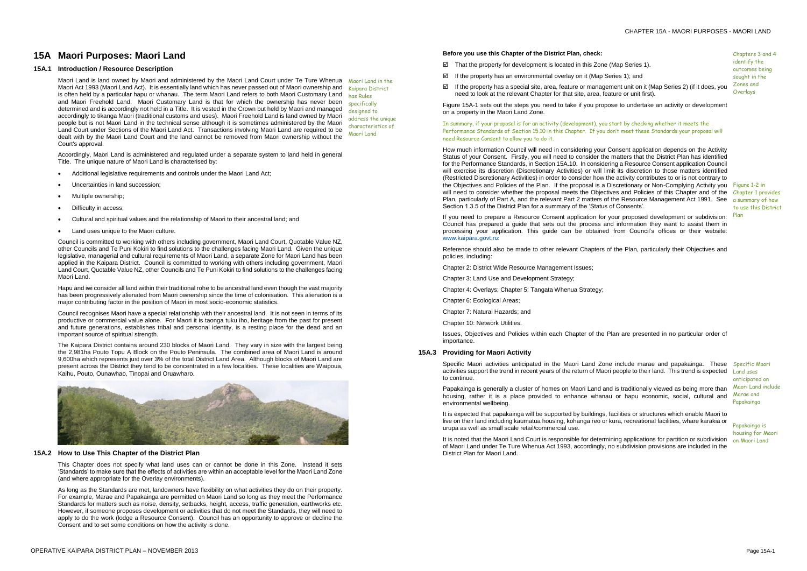Chapters 3 and 4 identify the outcomes being sought in the Zones and **Overlays** 

# **15A Maori Purposes: Maori Land**

#### **15A.1 Introduction / Resource Description**

Maori Land is land owned by Maori and administered by the Maori Land Court under Te Ture Whenua Maori Act 1993 (Maori Land Act). It is essentially land which has never passed out of Maori ownership and is often held by a particular hapu or whanau. The term Maori Land refers to both Maori Customary Land and Maori Freehold Land. Maori Customary Land is that for which the ownership has never been determined and is accordingly not held in a Title. It is vested in the Crown but held by Maori and managed accordingly to tikanga Maori (traditional customs and uses). Maori Freehold Land is land owned by Maori people but is not Maori Land in the technical sense although it is sometimes administered by the Maori Land Court under Sections of the Maori Land Act. Transactions involving Maori Land are required to be dealt with by the Maori Land Court and the land cannot be removed from Maori ownership without the Court's approval.

- Additional legislative requirements and controls under the Maori Land Act;
- Uncertainties in land succession;
- Multiple ownership;
- Difficulty in access;
- Cultural and spiritual values and the relationship of Maori to their ancestral land; and
- Land uses unique to the Maori culture.

Accordingly, Maori Land is administered and regulated under a separate system to land held in general Title. The unique nature of Maori Land is characterised by:

Council is committed to working with others including government, Maori Land Court, Quotable Value NZ, other Councils and Te Puni Kokiri to find solutions to the challenges facing Maori Land. Given the unique legislative, managerial and cultural requirements of Maori Land, a separate Zone for Maori Land has been applied in the Kaipara District. Council is committed to working with others including government, Maori Land Court, Quotable Value NZ, other Councils and Te Puni Kokiri to find solutions to the challenges facing Maori Land.

Hapu and iwi consider all land within their traditional rohe to be ancestral land even though the vast majority has been progressively alienated from Maori ownership since the time of colonisation. This alienation is a major contributing factor in the position of Maori in most socio-economic statistics.

- $\boxtimes$  That the property for development is located in this Zone (Map Series 1).
- $\boxtimes$  If the property has an environmental overlay on it (Map Series 1); and
- If the property has a special site, area, feature or management unit on it (Map Series 2) (if it does, you need to look at the relevant Chapter for that site, area, feature or unit first).

Council recognises Maori have a special relationship with their ancestral land. It is not seen in terms of its productive or commercial value alone. For Maori it is taonga tuku iho, heritage from the past for present and future generations, establishes tribal and personal identity, is a resting place for the dead and an important source of spiritual strength.

The Kaipara District contains around 230 blocks of Maori Land. They vary in size with the largest being the 2,981ha Pouto Topu A Block on the Pouto Peninsula. The combined area of Maori Land is around 9,600ha which represents just over 3% of the total District Land Area. Although blocks of Maori Land are present across the District they tend to be concentrated in a few localities. These localities are Waipoua, Kaihu, Pouto, Ounawhao, Tinopai and Oruawharo.



Maori Land in the Kaipara District has Rules specifically designed to address the unique characteristics of Maori Land

#### **15A.2 How to Use This Chapter of the District Plan**

This Chapter does not specify what land uses can or cannot be done in this Zone. Instead it sets 'Standards' to make sure that the effects of activities are within an acceptable level for the Maori Land Zone (and where appropriate for the Overlay environments).

Specific Maori activities anticipated in the Maori Land Zone include marae and papakainga. These Specific Maori activities support the trend in recent years of the return of Maori people to their land. This trend is expected to continue.

As long as the Standards are met, landowners have flexibility on what activities they do on their property. For example, Marae and Papakainga are permitted on Maori Land so long as they meet the Performance Standards for matters such as noise, density, setbacks, height, access, traffic generation, earthworks etc. However, if someone proposes development or activities that do not meet the Standards, they will need to apply to do the work (lodge a Resource Consent). Council has an opportunity to approve or decline the Consent and to set some conditions on how the activity is done.

It is noted that the Maori Land Court is responsible for determining applications for partition or subdivision on Maori Land of Maori Land under Te Ture Whenua Act 1993, accordingly, no subdivision provisions are included in the District Plan for Maori Land.

#### **Before you use this Chapter of the District Plan, check:**

Figure 15A-1 sets out the steps you need to take if you propose to undertake an activity or development on a property in the Maori Land Zone.

In summary, if your proposal is for an activity (development), you start by checking whether it meets the Performance Standards of Section 15.10 in this Chapter. If you don't meet these Standards your proposal will need Resource Consent to allow you to do it.

How much information Council will need in considering your Consent application depends on the Activity Status of your Consent. Firstly, you will need to consider the matters that the District Plan has identified for the Performance Standards, in Section 15A.10. In considering a Resource Consent application Council will exercise its discretion (Discretionary Activities) or will limit its discretion to those matters identified (Restricted Discretionary Activities) in order to consider how the activity contributes to or is not contrary to the Objectives and Policies of the Plan. If the proposal is a Discretionary or Non-Complying Activity you Figure 1-2 in will need to consider whether the proposal meets the Objectives and Policies of this Chapter and of the Chapter 1 provides Plan, particularly of Part A, and the relevant Part 2 matters of the Resource Management Act 1991. See Section 1.3.5 of the District Plan for a summary of the 'Status of Consents'.

If you need to prepare a Resource Consent application for your proposed development or subdivision: Council has prepared a guide that sets out the process and information they want to assist them in processing your application. This guide can be obtained from Council's offices or their website: [www.kaipara.govt.nz](http://www.kaipara.govt.nz/)

Reference should also be made to other relevant Chapters of the Plan, particularly their Objectives and policies, including:

Chapter 2: District Wide Resource Management Issues;

Chapter 3: Land Use and Development Strategy;

Chapter 4: Overlays; Chapter 5: Tangata Whenua Strategy;

Chapter 6: Ecological Areas;

Chapter 7: Natural Hazards; and

Chapter 10: Network Utilities.

Issues, Objectives and Policies within each Chapter of the Plan are presented in no particular order of importance.

a summary of how to use this District Plan

#### **15A.3 Providing for Maori Activity**

Papakainga is generally a cluster of homes on Maori Land and is traditionally viewed as being more than housing, rather it is a place provided to enhance whanau or hapu economic, social, cultural and environmental wellbeing.

It is expected that papakainga will be supported by buildings, facilities or structures which enable Maori to live on their land including kaumatua housing, kohanga reo or kura, recreational facilities, whare karakia or urupa as well as small scale retail/commercial use.

Land uses anticipated on Maori Land include Marae and Papakainga

Papakainga is housing for Maori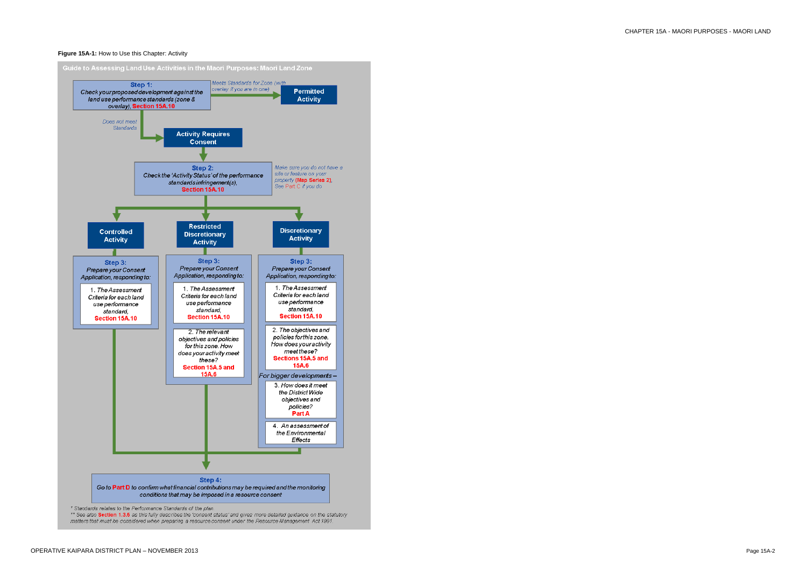#### **Figure 15A-1:** How to Use this Chapter: Activity



\*\* See also Section 1.3.5 as this fully describes the 'consent status' and gives more detailed guidance on the statutory matters that must be considered when preparing a resource consent under the Resource Management Act 1991.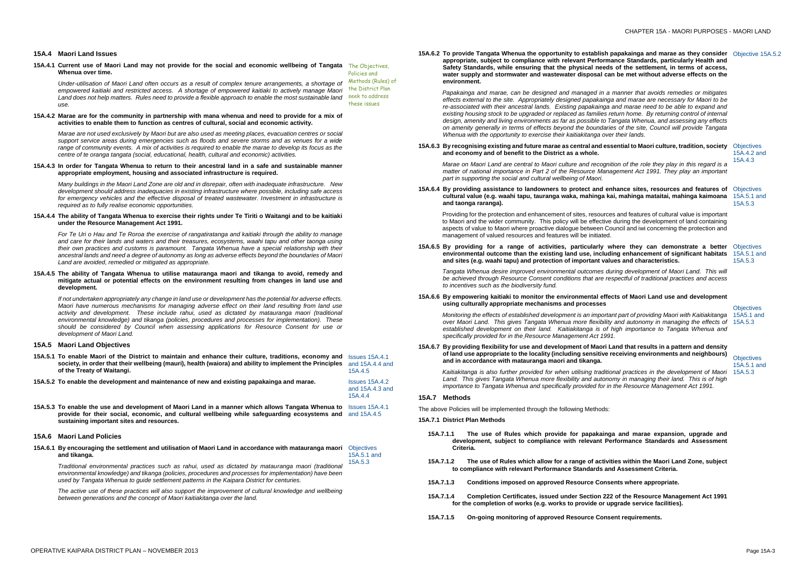#### **15A.4 Maori Land Issues**

**15A.4.1 Current use of Maori Land may not provide for the social and economic wellbeing of Tangata**  The Objectives, **Whenua over time.** Policies and

*Under-utilisation of Maori Land often occurs as a result of complex tenure arrangements, a shortage of empowered kaitiaki and restricted access. A shortage of empowered kaitiaki to actively manage Maori*  Land does not help matters. Rules need to provide a flexible approach to enable the most sustainable land seek to address *use.* Methods (Rules) of the District Plan these issues

#### **15A.4.2 Marae are for the community in partnership with mana whenua and need to provide for a mix of activities to enable them to function as centres of cultural, social and economic activity.**

*Marae are not used exclusively by Maori but are also used as meeting places, evacuation centres or social support service areas during emergencies such as floods and severe storms and as venues for a wide range of community events. A mix of activities is required to enable the marae to develop its focus as the centre of te oranga tangata (social, educational, health, cultural and economic) activities.*

**15A.4.3 In order for Tangata Whenua to return to their ancestral land in a safe and sustainable manner appropriate employment, housing and associated infrastructure is required.**

*Many buildings in the Maori Land Zone are old and in disrepair, often with inadequate infrastructure. New development should address inadequacies in existing infrastructure where possible, including safe access for emergency vehicles and the effective disposal of treated wastewater. Investment in infrastructure is required as to fully realise economic opportunities.*

#### **15A.4.4 The ability of Tangata Whenua to exercise their rights under Te Tiriti o Waitangi and to be kaitiaki under the Resource Management Act 1991.**

*For Te Uri o Hau and Te Roroa the exercise of rangatiratanga and kaitiaki through the ability to manage and care for their lands and waters and their treasures, ecosystems, waahi tapu and other taonga using their own practices and customs is paramount. Tangata Whenua have a special relationship with their ancestral lands and need a degree of autonomy as long as adverse effects beyond the boundaries of Maori Land are avoided, remedied or mitigated as appropriate.*

#### **15A.4.5 The ability of Tangata Whenua to utilise matauranga maori and tikanga to avoid, remedy and mitigate actual or potential effects on the environment resulting from changes in land use and development.**

*If not undertaken appropriately any change in land use or development has the potential for adverse effects. Maori have numerous mechanisms for managing adverse effect on their land resulting from land use activity and development. These include rahui, used as dictated by matauranga maori (traditional environmental knowledge) and tikanga (policies, procedures and processes for implementation). These should be considered by Council when assessing applications for Resource Consent for use or development of Maori Land.*

### **15A.5 Maori Land Objectives**

- **15A.5.1 To enable Maori of the District to maintain and enhance their culture, traditions, economy and**  Issues 15A.4.1 **society, in order that their wellbeing (mauri), health (waiora) and ability to implement the Principles of the Treaty of Waitangi.** and 15A.4.4 and 15A.4.5
- **15A.5.2 To enable the development and maintenance of new and existing papakainga and marae.** Issues 15A.4.2

and 15A.4.3 and 15A.4.4

**15A.5.3 To enable the use and development of Maori Land in a manner which allows Tangata Whenua to**  Issues 15A.4.1 **provide for their social, economic, and cultural wellbeing while safeguarding ecosystems and**  and 15A.4.5 **sustaining important sites and resources.** 

#### **15A.6 Maori Land Policies**

**Objectives** 15A5.1 and

#### **15A.6.1 By encouraging the settlement and utilisation of Maori Land in accordance with matauranga maori**  Objectives **and tikanga.** 15A.5.1 and

**Objectives** 15A.5.1 and 15A.5.3

*Traditional environmental practices such as rahui, used as dictated by matauranga maori (traditional environmental knowledge) and tikanga (policies, procedures and processes for implementation) have been used by Tangata Whenua to guide settlement patterns in the Kaipara District for centuries.*  15A.5.3

*The active use of these practices will also support the improvement of cultural knowledge and wellbeing between generations and the concept of Maori kaitiakitanga over the land.*

**15A.6.2 To provide Tangata Whenua the opportunity to establish papakainga and marae as they consider**  Objective 15A.5.2 **appropriate, subject to compliance with relevant Performance Standards, particularly Health and Safety Standards, while ensuring that the physical needs of the settlement, in terms of access, water supply and stormwater and wastewater disposal can be met without adverse effects on the environment.**

*Papakainga and marae, can be designed and managed in a manner that avoids remedies or mitigates effects external to the site. Appropriately designed papakainga and marae are necessary for Maori to be re-associated with their ancestral lands. Existing papakainga and marae need to be able to expand and existing housing stock to be upgraded or replaced as families return home. By returning control of internal design, amenity and living environments as far as possible to Tangata Whenua, and assessing any effects on amenity generally in terms of effects beyond the boundaries of the site, Council will provide Tangata Whenua with the opportunity to exercise their kaitiakitanga over their lands.*

#### **15A.6.3 By recognising existing and future marae as central and essential to Maori culture, tradition, society**  Objectives **and economy and of benefit to the District as a whole.**

*Marae on Maori Land are central to Maori culture and recognition of the role they play in this regard is a matter of national importance in Part 2 of the Resource Management Act 1991. They play an important part in supporting the social and cultural wellbeing of Maori.*

15A.4.2 and 15A.4.3

#### **15A.6.4 By providing assistance to landowners to protect and enhance sites, resources and features of**  Objectives **cultural value (e.g. waahi tapu, tauranga waka, mahinga kai, mahinga mataitai, mahinga kaimoana**  15A.5.1 and **and taonga raranga).**

Providing for the protection and enhancement of sites, resources and features of cultural value is important to Maori and the wider community. This policy will be effective during the development of land containing aspects of value to Maori where proactive dialogue between Council and iwi concerning the protection and management of valued resources and features will be initiated.

15A.5.3

#### **15A.6.5 By providing for a range of activities, particularly where they can demonstrate a better**  Objectives **environmental outcome than the existing land use, including enhancement of significant habitats**  15A.5.1 and **and sites (e.g. waahi tapu) and protection of important values and characteristics.**

*Tangata Whenua desire improved environmental outcomes during development of Maori Land. This will be achieved through Resource Consent conditions that are respectful of traditional practices and access to incentives such as the biodiversity fund.*

15A.5.3

#### **15A.6.6 By empowering kaitiaki to monitor the environmental effects of Maori Land use and development using culturally appropriate mechanisms and processes**

*Monitoring the effects of established development is an important part of providing Maori with Kaitiakitanga over Maori Land. This gives Tangata Whenua more flexibility and autonomy in managing the effects of*  15A.5.3 *established development on their land. Kaitiakitanga is of high importance to Tangata Whenua and specifically provided for in the Resource Management Act 1991.*

#### **15A.6.7 By providing flexibility for use and development of Maori Land that results in a pattern and density of land use appropriate to the locality (including sensitive receiving environments and neighbours) and in accordance with matauranga maori and tikanga.**

*Kaitiakitanga is also further provided for when utilising traditional practices in the development of Maori Land. This gives Tangata Whenua more flexibility and autonomy in managing their land. This is of high importance to Tangata Whenua and specifically provided for in the Resource Management Act 1991.*

#### **15A.7 Methods**

The above Policies will be implemented through the following Methods:

### **15A.7.1 District Plan Methods**

- **15A.7.1.1 The use of Rules which provide for papakainga and marae expansion, upgrade and development, subject to compliance with relevant Performance Standards and Assessment Criteria.**
- **15A.7.1.2 The use of Rules which allow for a range of activities within the Maori Land Zone, subject to compliance with relevant Performance Standards and Assessment Criteria.**
- **15A.7.1.3 Conditions imposed on approved Resource Consents where appropriate.**
- **15A.7.1.4 Completion Certificates, issued under Section 222 of the Resource Management Act 1991 for the completion of works (e.g. works to provide or upgrade service facilities).**
- **15A.7.1.5 On-going monitoring of approved Resource Consent requirements.**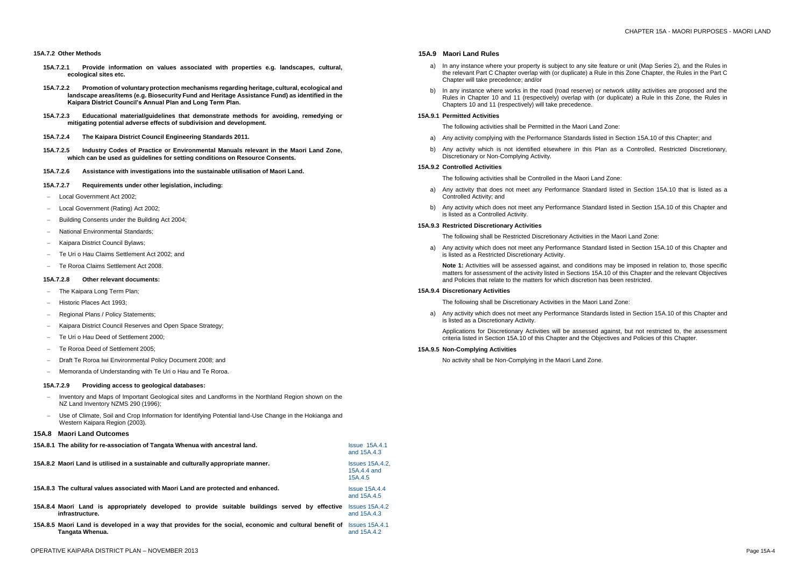#### **15A.7.2 Other Methods**

- **15A.7.2.1 Provide information on values associated with properties e.g. landscapes, cultural, ecological sites etc.**
- **15A.7.2.2 Promotion of voluntary protection mechanisms regarding heritage, cultural, ecological and landscape areas/items (e.g. Biosecurity Fund and Heritage Assistance Fund) as identified in the Kaipara District Council's Annual Plan and Long Term Plan.**
- **15A.7.2.3 Educational material/guidelines that demonstrate methods for avoiding, remedying or mitigating potential adverse effects of subdivision and development.**
- **15A.7.2.4 The Kaipara District Council Engineering Standards 2011.**
- **15A.7.2.5 Industry Codes of Practice or Environmental Manuals relevant in the Maori Land Zone, which can be used as guidelines for setting conditions on Resource Consents.**
- **15A.7.2.6 Assistance with investigations into the sustainable utilisation of Maori Land.**
- **15A.7.2.7 Requirements under other legislation, including:**
- Local Government Act 2002;
- Local Government (Rating) Act 2002;
- Building Consents under the Building Act 2004;
- National Environmental Standards;
- Kaipara District Council Bylaws;
- Te Uri o Hau Claims Settlement Act 2002; and
- Te Roroa Claims Settlement Act 2008.

#### **15A.7.2.8 Other relevant documents:**

- The Kaipara Long Term Plan;
- Historic Places Act 1993:
- Regional Plans / Policy Statements;
- Kaipara District Council Reserves and Open Space Strategy;
- Te Uri o Hau Deed of Settlement 2000;
- Te Roroa Deed of Settlement 2005;
- Draft Te Roroa Iwi Environmental Policy Document 2008; and
- Memoranda of Understanding with Te Uri o Hau and Te Roroa.
- a) In any instance where your property is subject to any site feature or unit (Map Series 2), and the Rules in the relevant Part C Chapter overlap with (or duplicate) a Rule in this Zone Chapter, the Rules in the Part C Chapter will take precedence; and/or
- b) In any instance where works in the road (road reserve) or network utility activities are proposed and the Rules in Chapter 10 and 11 (respectively) overlap with (or duplicate) a Rule in this Zone, the Rules in Chapters 10 and 11 (respectively) will take precedence.

#### **15A.7.2.9 Providing access to geological databases:**

- Inventory and Maps of Important Geological sites and Landforms in the Northland Region shown on the NZ Land Inventory NZMS 290 (1996);
- Use of Climate, Soil and Crop Information for Identifying Potential land-Use Change in the Hokianga and Western Kaipara Region (2003).

### **15A.8 Maori Land Outcomes**

| 15A.8.1 The ability for re-association of Tangata Whenua with ancestral land.                                              | <b>Issue 15A.4.1</b><br>and 15A.4.3              |
|----------------------------------------------------------------------------------------------------------------------------|--------------------------------------------------|
| 15A.8.2 Maori Land is utilised in a sustainable and culturally appropriate manner.                                         | <b>Issues 15A.4.2.</b><br>15A.4.4 and<br>15A.4.5 |
| 15A.8.3 The cultural values associated with Maori Land are protected and enhanced.                                         | <b>Issue 15A.4.4</b><br>and 15A.4.5              |
| 15A.8.4 Maori Land is appropriately developed to provide suitable buildings served by effective<br>infrastructure.         | $Issues$ 15A.4.2<br>and 15A.4.3                  |
| 15A.8.5 Maori Land is developed in a way that provides for the social, economic and cultural benefit of<br>Tangata Whenua. | <b>Issues 15A.4.1</b><br>and 15A.4.2             |

#### **15A.9 Maori Land Rules**

#### **15A.9.1 Permitted Activities**

The following activities shall be Permitted in the Maori Land Zone:

- a) Any activity complying with the Performance Standards listed in Section 15A.10 of this Chapter; and
- b) Any activity which is not identified elsewhere in this Plan as a Controlled, Restricted Discretionary, Discretionary or Non-Complying Activity.

#### **15A.9.2 Controlled Activities**

The following activities shall be Controlled in the Maori Land Zone:

- a) Any activity that does not meet any Performance Standard listed in Section 15A.10 that is listed as a Controlled Activity; and
- b) Any activity which does not meet any Performance Standard listed in Section 15A.10 of this Chapter and is listed as a Controlled Activity.

#### **15A.9.3 Restricted Discretionary Activities**

The following shall be Restricted Discretionary Activities in the Maori Land Zone:

a) Any activity which does not meet any Performance Standard listed in Section 15A.10 of this Chapter and is listed as a Restricted Discretionary Activity.

**Note 1:** Activities will be assessed against, and conditions may be imposed in relation to, those specific matters for assessment of the activity listed in Sections 15A.10 of this Chapter and the relevant Objectives and Policies that relate to the matters for which discretion has been restricted.

#### **15A.9.4 Discretionary Activities**

The following shall be Discretionary Activities in the Maori Land Zone:

a) Any activity which does not meet any Performance Standards listed in Section 15A.10 of this Chapter and is listed as a Discretionary Activity.

Applications for Discretionary Activities will be assessed against, but not restricted to, the assessment criteria listed in Section 15A.10 of this Chapter and the Objectives and Policies of this Chapter.

#### **15A.9.5 Non-Complying Activities**

No activity shall be Non-Complying in the Maori Land Zone.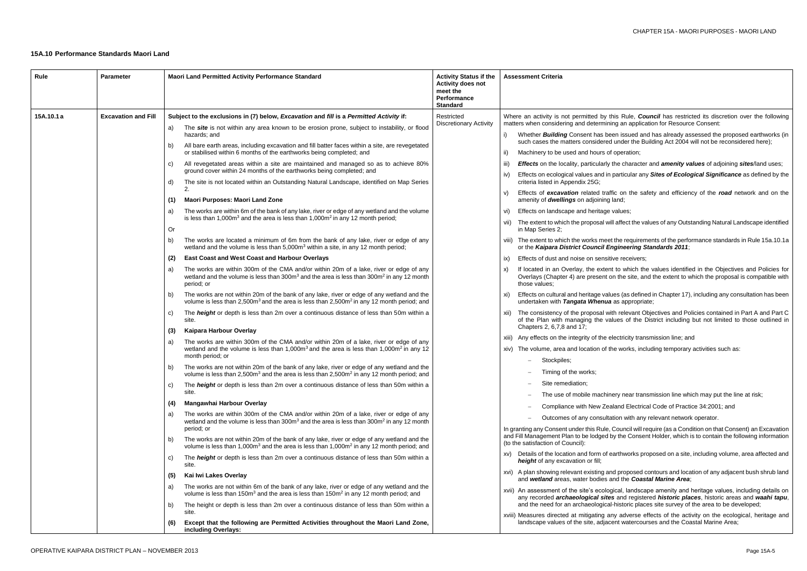this Rule, *Council* has restricted its discretion over the following ing an application for Resource Consent:

een issued and has already assessed the proposed earthworks (in d under the Building Act 2004 will not be reconsidered here);

f operation;

the character and *amenity values* of adjoining *sites*/land uses;

i particular any *Sites of Ecological Significance* as defined by the

ffic on the safety and efficiency of the road network and on the iland;

values;

vill affect the values of any Outstanding Natural Landscape identified

### **15A.10 Performance Standards Maori Land**

et the requirements of the performance standards in Rule 15a.10.1a or the *Kaipara District Council Engineering Standards 2011*;

tive receivers;

nt to which the values identified in the Objectives and Policies for on the site, and the extent to which the proposal is compatible with

ues (as defined in Chapter 17), including any consultation has been **a** as appropriate;

ith relevant Objectives and Policies contained in Part A and Part C alues of the District including but not limited to those outlined in

electricity transmission line; and

he works, including temporary activities such as:

nery near transmission line which may put the line at risk;

aland Electrical Code of Practice 34:2001; and

ation with any relevant network operator.

Council will require (as a Condition on that Consent) an Excavation by the Consent Holder, which is to contain the following information

earthworks proposed on a site, including volume, area affected and

nd proposed contours and location of any adjacent bush shrub land and the *Coastal Marine Area*;

gical, landscape amenity and heritage values, including details on any recorded *archaeological sites* and registered *historic places*, historic areas and *waahi tapu*, I-historic places site survey of the area to be developed;

iny adverse effects of the activity on the ecological, heritage and cent watercourses and the Coastal Marine Area;

| Rule       | <b>Parameter</b>                                                  | <b>Maori Land Permitted Activity Performance Standard</b>                                                                                                                                                                                                                                                                                                                                                                                             | <b>Activity Status if the</b><br><b>Activity does not</b><br>meet the<br>Performance<br><b>Standard</b>                                                                                                                                                                                                                                         | <b>Assessment Criteria</b>                                                                                                                                                                                              |                                                                                                                                                                                                    |
|------------|-------------------------------------------------------------------|-------------------------------------------------------------------------------------------------------------------------------------------------------------------------------------------------------------------------------------------------------------------------------------------------------------------------------------------------------------------------------------------------------------------------------------------------------|-------------------------------------------------------------------------------------------------------------------------------------------------------------------------------------------------------------------------------------------------------------------------------------------------------------------------------------------------|-------------------------------------------------------------------------------------------------------------------------------------------------------------------------------------------------------------------------|----------------------------------------------------------------------------------------------------------------------------------------------------------------------------------------------------|
| 15A.10.1 a | <b>Excavation and Fill</b><br>a)<br>b)<br>C)<br>d)                | Subject to the exclusions in (7) below, Excavation and fill is a Permitted Activity if:<br>The site is not within any area known to be erosion prone, subject to instability, or flood<br>hazards; and<br>All bare earth areas, including excavation and fill batter faces within a site, are revegetated<br>or stabilised within 6 months of the earthworks being completed; and                                                                     | Restricted<br><b>Discretionary Activity</b>                                                                                                                                                                                                                                                                                                     | Where an activity is not permitted by t<br>matters when considering and determin<br>Whether <b>Building</b> Consent has be<br>$\vert$<br>such cases the matters considered<br>Machinery to be used and hours of<br>ii)  |                                                                                                                                                                                                    |
|            |                                                                   | All revegetated areas within a site are maintained and managed so as to achieve 80%<br>ground cover within 24 months of the earthworks being completed; and<br>The site is not located within an Outstanding Natural Landscape, identified on Map Series<br><b>Maori Purposes: Maori Land Zone</b><br>(1)                                                                                                                                             |                                                                                                                                                                                                                                                                                                                                                 | <b>Effects</b> on the locality, particularly<br>iii)<br>Effects on ecological values and in<br>IV)<br>criteria listed in Appendix 25G;<br>Effects of excavation related traf<br>V)<br>amenity of dwellings on adjoining |                                                                                                                                                                                                    |
|            |                                                                   | The works are within 6m of the bank of any lake, river or edge of any wetland and the volume<br>a)<br>is less than $1,000m^3$ and the area is less than $1,000m^2$ in any 12 month period;<br>Or                                                                                                                                                                                                                                                      |                                                                                                                                                                                                                                                                                                                                                 | Effects on landscape and heritage<br>VI)<br>The extent to which the proposal wi<br>VII)<br>in Map Series 2;                                                                                                             |                                                                                                                                                                                                    |
|            | b)<br>(2)<br>a)<br>b)<br>C)<br>(3)<br>a)<br>b)<br>C)<br>(4)<br>a) | The works are located a minimum of 6m from the bank of any lake, river or edge of any<br>wetland and the volume is less than $5,000m3$ within a site, in any 12 month period;<br><b>East Coast and West Coast and Harbour Overlays</b><br>The works are within 300m of the CMA and/or within 20m of a lake, river or edge of any                                                                                                                      |                                                                                                                                                                                                                                                                                                                                                 | viii) The extent to which the works mee<br>or the Kaipara District Council E<br>Effects of dust and noise on sensit<br>ix)<br>If located in an Overlay, the exter<br>X)                                                 |                                                                                                                                                                                                    |
|            |                                                                   | wetland and the volume is less than 300m <sup>3</sup> and the area is less than 300m <sup>2</sup> in any 12 month<br>period; or<br>The works are not within 20m of the bank of any lake, river or edge of any wetland and the<br>volume is less than 2,500m <sup>3</sup> and the area is less than 2,500m <sup>2</sup> in any 12 month period; and<br>The <i>height</i> or depth is less than 2m over a continuous distance of less than 50m within a |                                                                                                                                                                                                                                                                                                                                                 | Overlays (Chapter 4) are present o<br>those values:<br>Effects on cultural and heritage val<br>XI)<br>undertaken with Tangata Whenua<br>The consistency of the proposal wi<br>XII)                                      |                                                                                                                                                                                                    |
|            |                                                                   |                                                                                                                                                                                                                                                                                                                                                                                                                                                       | site.<br>Kaipara Harbour Overlay<br>The works are within 300m of the CMA and/or within 20m of a lake, river or edge of any<br>wetland and the volume is less than 1,000m <sup>3</sup> and the area is less than 1,000m <sup>2</sup> in any 12                                                                                                   |                                                                                                                                                                                                                         | of the Plan with managing the va<br>Chapters 2, 6,7,8 and 17;<br>xiii) Any effects on the integrity of the e<br>xiv) The volume, area and location of t                                            |
|            |                                                                   | month period; or<br>The works are not within 20m of the bank of any lake, river or edge of any wetland and the<br>volume is less than 2,500m <sup>3</sup> and the area is less than 2,500m <sup>2</sup> in any 12 month period; and<br>The <i>height</i> or depth is less than 2m over a continuous distance of less than 50m within a                                                                                                                |                                                                                                                                                                                                                                                                                                                                                 | Stockpiles;<br>Timing of the works:<br>Site remediation;                                                                                                                                                                |                                                                                                                                                                                                    |
|            |                                                                   |                                                                                                                                                                                                                                                                                                                                                                                                                                                       | site.<br>Mangawhai Harbour Overlay<br>The works are within 300m of the CMA and/or within 20m of a lake, river or edge of any<br>wetland and the volume is less than 300m <sup>3</sup> and the area is less than 300m <sup>2</sup> in any 12 month<br>period; or                                                                                 |                                                                                                                                                                                                                         | The use of mobile machir<br>Compliance with New Zea<br>Outcomes of any consulta<br>In granting any Consent under this Rule,                                                                        |
|            |                                                                   | The works are not within 20m of the bank of any lake, river or edge of any wetland and the<br>b)<br>volume is less than 1,000 $m3$ and the area is less than 1,000 $m2$ in any 12 month period; and<br>The <i>height</i> or depth is less than 2m over a continuous distance of less than 50m within a<br>C)<br>site.                                                                                                                                 |                                                                                                                                                                                                                                                                                                                                                 | and Fill Management Plan to be lodged I<br>(to the satisfaction of Council):<br>xv) Details of the location and form of e<br>height of any excavation or fill;<br>xvi) A plan showing relevant existing ar              |                                                                                                                                                                                                    |
|            |                                                                   | a)<br>b)                                                                                                                                                                                                                                                                                                                                                                                                                                              | Kai Iwi Lakes Overlay<br>(5)<br>The works are not within 6m of the bank of any lake, river or edge of any wetland and the<br>volume is less than 150m <sup>3</sup> and the area is less than 150m <sup>2</sup> in any 12 month period; and<br>The height or depth is less than 2m over a continuous distance of less than 50m within a<br>site. |                                                                                                                                                                                                                         | and wetland areas, water bodies a<br>xvii) An assessment of the site's ecolog<br>any recorded archaeological site<br>and the need for an archaeologica<br>xviii) Measures directed at mitigating a |
|            |                                                                   | (6)                                                                                                                                                                                                                                                                                                                                                                                                                                                   | Except that the following are Permitted Activities throughout the Maori Land Zone,<br>including Overlays:                                                                                                                                                                                                                                       |                                                                                                                                                                                                                         | landscape values of the site, adjac                                                                                                                                                                |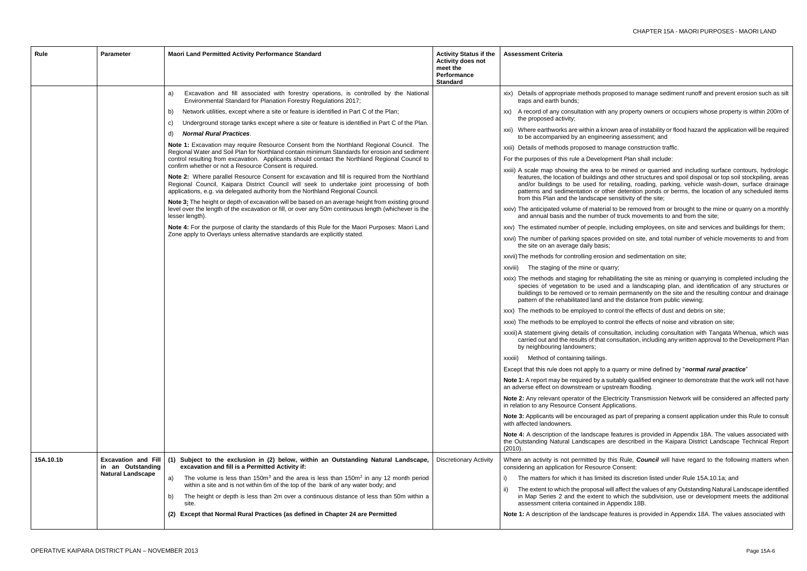roposed to manage sediment runoff and prevent erosion such as silt

any property owners or occupiers whose property is within 200m of

own area of instability or flood hazard the application will be required ering assessment; and

nanage construction traffic.

ment Plan shall include:

be mined or quarried and including surface contours, hydrologic and other structures and spoil disposal or top soil stockpiling, areas retailing, roading, parking, vehicle wash-down, surface drainage ner detention ponds or berms, the location of any scheduled items sensitivity of the site;

al to be removed from or brought to the mine or quarry on a monthly r of truck movements to and from the site;

including employees, on site and services and buildings for them;

rovided on site, and total number of vehicle movements to and from

on and sedimentation on site;

abilitating the site as mining or quarrying is completed including the d and a landscaping plan, and identification of any structures or hain permanently on the site and the resulting contour and drainage nd the distance from public viewing;

control the effects of dust and debris on site;

control the effects of noise and vibration on site;

isultation, including consultation with Tangata Whenua, which was consultation, including any written approval to the Development Plan

guarry or mine defined by "*normal rural practice*"

suitably qualified engineer to demonstrate that the work will not have pstream flooding.

lectricity Transmission Network will be considered an affected party pplications.

as part of preparing a consent application under this Rule to consult

features is provided in Appendix 18A. The values associated with are described in the Kaipara District Landscape Technical Report

this Rule, **Council** will have regard to the following matters when e Consent:

ed its discretion listed under Rule 15A.10.1a; and

will affect the values of any Outstanding Natural Landscape identified to which the subdivision, use or development meets the additional Appendix 18B.

features is provided in Appendix 18A. The values associated with

| Excavation and fill associated with forestry operations, is controlled by the National<br>a)<br>Environmental Standard for Planation Forestry Regulations 2017;<br>Network utilities, except where a site or feature is identified in Part C of the Plan;<br>b)<br>XX)<br>Underground storage tanks except where a site or feature is identified in Part C of the Plan.<br>C)<br><b>Normal Rural Practices.</b><br>d)<br>Note 1: Excavation may require Resource Consent from the Northland Regional Council. The<br>Regional Water and Soil Plan for Northland contain minimum Standards for erosion and sediment<br>control resulting from excavation. Applicants should contact the Northland Regional Council to<br>confirm whether or not a Resource Consent is required.<br>Note 2: Where parallel Resource Consent for excavation and fill is required from the Northland<br>Regional Council, Kaipara District Council will seek to undertake joint processing of both<br>applications, e.g. via delegated authority from the Northland Regional Council.<br>Note 3: The height or depth of excavation will be based on an average height from existing ground<br>level over the length of the excavation or fill, or over any 50m continuous length (whichever is the<br>lesser length).<br>Note 4: For the purpose of clarity the standards of this Rule for the Maori Purposes: Maori Land<br>Zone apply to Overlays unless alternative standards are explicitly stated.<br>xxviii)<br>XXXIII)<br>(2010).<br>15A.10.1b<br><b>Excavation and Fill</b><br>(1) Subject to the exclusion in (2) below, within an Outstanding Natural Landscape,<br><b>Discretionary Activity</b><br>excavation and fill is a Permitted Activity if:<br>in an Outstanding<br><b>Natural Landscape</b><br>The volume is less than $150m3$ and the area is less than $150m2$ in any 12 month period<br>a)<br>within a site and is not within 6m of the top of the bank of any water body; and<br>$\vert \vert$<br>The height or depth is less than 2m over a continuous distance of less than 50m within a<br>b)<br>site.<br>(2) Except that Normal Rural Practices (as defined in Chapter 24 are Permitted | Rule | <b>Parameter</b> | Maori Land Permitted Activity Performance Standard | <b>Activity Status if the</b><br><b>Activity does not</b><br>meet the<br>Performance<br><b>Standard</b> | <b>Assessment Criteria</b>                                                                                                                                                                                                                                                                                                                                                                                                                                                                                                                                                                                                                                                                                                                                                                                                                                                                                                                                                                                                                                                                                                                                                                                                                                                                                                                                                                                                                                                                                                                                                                                                                                                                      |
|-------------------------------------------------------------------------------------------------------------------------------------------------------------------------------------------------------------------------------------------------------------------------------------------------------------------------------------------------------------------------------------------------------------------------------------------------------------------------------------------------------------------------------------------------------------------------------------------------------------------------------------------------------------------------------------------------------------------------------------------------------------------------------------------------------------------------------------------------------------------------------------------------------------------------------------------------------------------------------------------------------------------------------------------------------------------------------------------------------------------------------------------------------------------------------------------------------------------------------------------------------------------------------------------------------------------------------------------------------------------------------------------------------------------------------------------------------------------------------------------------------------------------------------------------------------------------------------------------------------------------------------------------------------------------------------------------------------------------------------------------------------------------------------------------------------------------------------------------------------------------------------------------------------------------------------------------------------------------------------------------------------------------------------------------------------------------------------------------------------------------------------------------------------------------------------------------|------|------------------|----------------------------------------------------|---------------------------------------------------------------------------------------------------------|-------------------------------------------------------------------------------------------------------------------------------------------------------------------------------------------------------------------------------------------------------------------------------------------------------------------------------------------------------------------------------------------------------------------------------------------------------------------------------------------------------------------------------------------------------------------------------------------------------------------------------------------------------------------------------------------------------------------------------------------------------------------------------------------------------------------------------------------------------------------------------------------------------------------------------------------------------------------------------------------------------------------------------------------------------------------------------------------------------------------------------------------------------------------------------------------------------------------------------------------------------------------------------------------------------------------------------------------------------------------------------------------------------------------------------------------------------------------------------------------------------------------------------------------------------------------------------------------------------------------------------------------------------------------------------------------------|
|                                                                                                                                                                                                                                                                                                                                                                                                                                                                                                                                                                                                                                                                                                                                                                                                                                                                                                                                                                                                                                                                                                                                                                                                                                                                                                                                                                                                                                                                                                                                                                                                                                                                                                                                                                                                                                                                                                                                                                                                                                                                                                                                                                                                 |      |                  |                                                    |                                                                                                         | xix) Details of appropriate methods propos<br>traps and earth bunds;<br>A record of any consultation with any<br>the proposed activity;<br>xxi) Where earthworks are within a known<br>to be accompanied by an engineering<br>xxii) Details of methods proposed to mana<br>For the purposes of this rule a Developmer<br>xxiii) A scale map showing the area to be<br>features, the location of buildings and<br>and/or buildings to be used for reta<br>patterns and sedimentation or other<br>from this Plan and the landscape sen<br>xxiv) The anticipated volume of material to<br>and annual basis and the number of t<br>xxv) The estimated number of people, incl<br>xxvi) The number of parking spaces provid<br>the site on an average daily basis;<br>xxvii) The methods for controlling erosion a<br>The staging of the mine or quarry;<br>xxix) The methods and staging for rehabilit<br>species of vegetation to be used ar<br>buildings to be removed or to remain<br>pattern of the rehabilitated land and th<br>xxx) The methods to be employed to contr<br>xxxi) The methods to be employed to contr<br>xxxii) A statement giving details of consulta<br>carried out and the results of that cons<br>by neighbouring landowners;<br>Method of containing tailings.<br>Except that this rule does not apply to a qu<br>Note 1: A report may be required by a suita<br>an adverse effect on downstream or upstre<br>Note 2: Any relevant operator of the Electr<br>in relation to any Resource Consent Applic<br>Note 3: Applicants will be encouraged as p<br>with affected landowners.<br>Note 4: A description of the landscape fea<br>the Outstanding Natural Landscapes are |
|                                                                                                                                                                                                                                                                                                                                                                                                                                                                                                                                                                                                                                                                                                                                                                                                                                                                                                                                                                                                                                                                                                                                                                                                                                                                                                                                                                                                                                                                                                                                                                                                                                                                                                                                                                                                                                                                                                                                                                                                                                                                                                                                                                                                 |      |                  |                                                    |                                                                                                         | Where an activity is not permitted by this<br>considering an application for Resource Co<br>The matters for which it has limited its<br>The extent to which the proposal will a<br>in Map Series 2 and the extent to wl<br>assessment criteria contained in Appe<br>Note 1: A description of the landscape feat                                                                                                                                                                                                                                                                                                                                                                                                                                                                                                                                                                                                                                                                                                                                                                                                                                                                                                                                                                                                                                                                                                                                                                                                                                                                                                                                                                                 |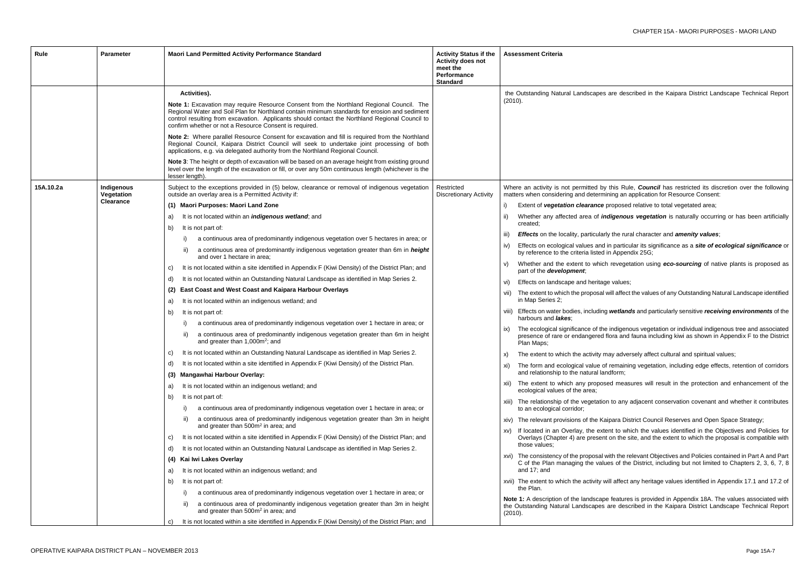are described in the Kaipara District Landscape Technical Report

this Rule, *Council* has restricted its discretion over the following ining an application for Resource Consent:

proposed relative to total vegetated area;

idigenous vegetation is naturally occurring or has been artificially

ly the rural character and **amenity values**;

in particular its significance as a *site of ecological significance* or in Appendix 25G;

revegetation using **eco-sourcing** of native plants is proposed as

e values;

will affect the values of any Outstanding Natural Landscape identified

wetlands and particularly sensitive *receiving environments* of the

indigenous vegetation or individual indigenous tree and associated flora and fauna including kiwi as shown in Appendix F to the District

hay adversely affect cultural and spiritual values;

f remaining vegetation, including edge effects, retention of corridors adform;

ed measures will result in the protection and enhancement of the

n to any adjacent conservation covenant and whether it contributes

ipara District Council Reserves and Open Space Strategy;

ent to which the values identified in the Objectives and Policies for t on the site, and the extent to which the proposal is compatible with

vith the relevant Objectives and Policies contained in Part A and Part les of the District, including but not limited to Chapters 2, 3, 6, 7, 8

vill affect any heritage values identified in Appendix 17.1 and 17.2 of

e features is provided in Appendix 18A. The values associated with are described in the Kaipara District Landscape Technical Report

| Rule      | <b>Parameter</b>         | Maori Land Permitted Activity Performance Standard                                                                                                                                                                                                                                                                                                                    | <b>Activity Status if the</b><br><b>Activity does not</b><br>meet the<br><b>Performance</b><br><b>Standard</b> | <b>Assessment Criteria</b>                                                         |
|-----------|--------------------------|-----------------------------------------------------------------------------------------------------------------------------------------------------------------------------------------------------------------------------------------------------------------------------------------------------------------------------------------------------------------------|----------------------------------------------------------------------------------------------------------------|------------------------------------------------------------------------------------|
|           |                          | Activities).<br>Note 1: Excavation may require Resource Consent from the Northland Regional Council. The<br>Regional Water and Soil Plan for Northland contain minimum standards for erosion and sediment<br>control resulting from excavation. Applicants should contact the Northland Regional Council to<br>confirm whether or not a Resource Consent is required. |                                                                                                                | the Outstanding Natural Landscapes<br>(2010).                                      |
|           |                          | Note 2: Where parallel Resource Consent for excavation and fill is required from the Northland<br>Regional Council, Kaipara District Council will seek to undertake joint processing of both<br>applications, e.g. via delegated authority from the Northland Regional Council.                                                                                       |                                                                                                                |                                                                                    |
|           |                          | Note 3: The height or depth of excavation will be based on an average height from existing ground<br>level over the length of the excavation or fill, or over any 50m continuous length (whichever is the<br>lesser length).                                                                                                                                          |                                                                                                                |                                                                                    |
| 15A.10.2a | Indigenous<br>Vegetation | Subject to the exceptions provided in (5) below, clearance or removal of indigenous vegetation<br>outside an overlay area is a Permitted Activity if:                                                                                                                                                                                                                 | Restricted<br><b>Discretionary Activity</b>                                                                    | Where an activity is not permitted by<br>matters when considering and determi      |
|           | <b>Clearance</b>         | (1) Maori Purposes: Maori Land Zone                                                                                                                                                                                                                                                                                                                                   |                                                                                                                | Extent of vegetation clearance p<br>i)                                             |
|           |                          | It is not located within an <i>indigenous wetland</i> ; and<br>a)                                                                                                                                                                                                                                                                                                     |                                                                                                                | Whether any affected area of in<br>created;                                        |
|           |                          | It is not part of:<br>b)                                                                                                                                                                                                                                                                                                                                              |                                                                                                                |                                                                                    |
|           |                          | a continuous area of predominantly indigenous vegetation over 5 hectares in area; or<br>i)                                                                                                                                                                                                                                                                            |                                                                                                                | <b>Effects</b> on the locality, particularly<br>iii)                               |
|           |                          | a continuous area of predominantly indigenous vegetation greater than 6m in height<br>ii)<br>and over 1 hectare in area;                                                                                                                                                                                                                                              |                                                                                                                | Effects on ecological values and i<br>iv)<br>by reference to the criteria listed i |
|           |                          | It is not located within a site identified in Appendix F (Kiwi Density) of the District Plan; and<br>C)                                                                                                                                                                                                                                                               |                                                                                                                | Whether and the extent to which<br>V)<br>part of the <b>development</b> ;          |
|           |                          | It is not located within an Outstanding Natural Landscape as identified in Map Series 2.<br>d)                                                                                                                                                                                                                                                                        |                                                                                                                | Effects on landscape and heritage<br>vi)                                           |
|           |                          | East Coast and West Coast and Kaipara Harbour Overlays<br>(2)                                                                                                                                                                                                                                                                                                         |                                                                                                                | vii) The extent to which the proposal v                                            |
|           |                          | It is not located within an indigenous wetland; and<br>a)                                                                                                                                                                                                                                                                                                             |                                                                                                                | in Map Series 2;                                                                   |
|           |                          | It is not part of:<br>b)                                                                                                                                                                                                                                                                                                                                              |                                                                                                                | viii) Effects on water bodies, including<br>harbours and <i>lakes</i> ;            |
|           |                          | a continuous area of predominantly indigenous vegetation over 1 hectare in area; or<br>$\vert$                                                                                                                                                                                                                                                                        |                                                                                                                | The ecological significance of the<br>ix)                                          |
|           |                          | a continuous area of predominantly indigenous vegetation greater than 6m in height<br>ii)<br>and greater than 1,000m <sup>2</sup> ; and                                                                                                                                                                                                                               |                                                                                                                | presence of rare or endangered f<br>Plan Maps;                                     |
|           |                          | It is not located within an Outstanding Natural Landscape as identified in Map Series 2.<br>C)                                                                                                                                                                                                                                                                        |                                                                                                                | The extent to which the activity m<br>X)                                           |
|           |                          | It is not located within a site identified in Appendix F (Kiwi Density) of the District Plan.<br>d)                                                                                                                                                                                                                                                                   |                                                                                                                | The form and ecological value of<br>XI)<br>and relationship to the natural lan     |
|           |                          | Mangawhai Harbour Overlay:<br>(3)                                                                                                                                                                                                                                                                                                                                     |                                                                                                                |                                                                                    |
|           |                          | It is not located within an indigenous wetland; and<br>a)<br>It is not part of:<br>b)                                                                                                                                                                                                                                                                                 |                                                                                                                | xii) The extent to which any propose<br>ecological values of the area;             |
|           |                          | a continuous area of predominantly indigenous vegetation over 1 hectare in area; or                                                                                                                                                                                                                                                                                   |                                                                                                                | xiii) The relationship of the vegetation<br>to an ecological corridor;             |
|           |                          | a continuous area of predominantly indigenous vegetation greater than 3m in height<br>$\parallel$<br>and greater than 500m <sup>2</sup> in area; and                                                                                                                                                                                                                  |                                                                                                                | xiv) The relevant provisions of the Kai                                            |
|           |                          | It is not located within a site identified in Appendix F (Kiwi Density) of the District Plan; and<br>C)                                                                                                                                                                                                                                                               |                                                                                                                | xv) If located in an Overlay, the exte<br>Overlays (Chapter 4) are present         |
|           |                          | It is not located within an Outstanding Natural Landscape as identified in Map Series 2.<br>d)                                                                                                                                                                                                                                                                        |                                                                                                                | those values:                                                                      |
|           |                          | Kai Iwi Lakes Overlay<br>(4)                                                                                                                                                                                                                                                                                                                                          |                                                                                                                | xvi) The consistency of the proposal w                                             |
|           |                          | It is not located within an indigenous wetland; and<br>a)                                                                                                                                                                                                                                                                                                             |                                                                                                                | C of the Plan managing the value<br>and 17; and                                    |
|           |                          | It is not part of:<br>b)                                                                                                                                                                                                                                                                                                                                              |                                                                                                                | xvii) The extent to which the activity w                                           |
|           |                          | a continuous area of predominantly indigenous vegetation over 1 hectare in area; or                                                                                                                                                                                                                                                                                   |                                                                                                                | the Plan.                                                                          |
|           |                          | a continuous area of predominantly indigenous vegetation greater than 3m in height<br>$\vert \vert$<br>and greater than 500m <sup>2</sup> in area; and                                                                                                                                                                                                                |                                                                                                                | Note 1: A description of the landscape<br>the Outstanding Natural Landscapes       |
|           |                          | It is not located within a site identified in Appendix F (Kiwi Density) of the District Plan; and<br>C)                                                                                                                                                                                                                                                               |                                                                                                                | (2010).                                                                            |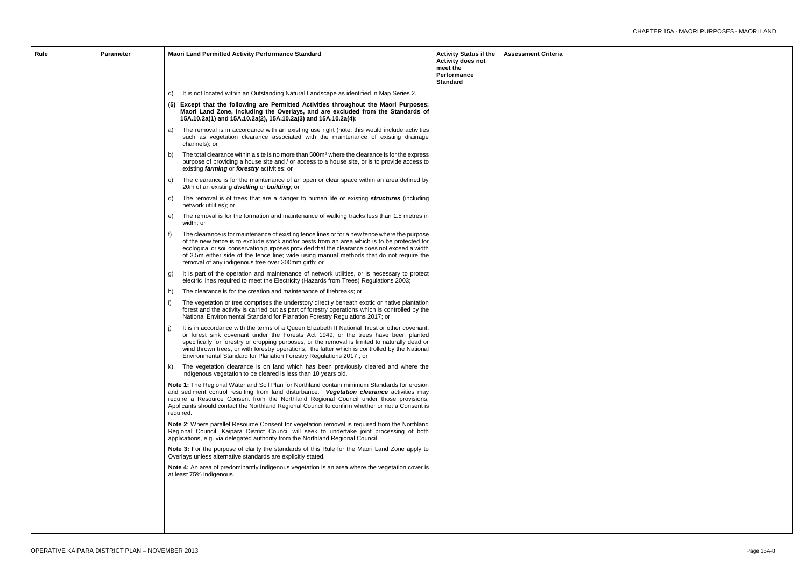| Rule | Parameter | <b>Maori Land Permitted Activity Performance Standard</b>                                                                                                                                                                                                                                                                                                                                                                                                    | <b>Activity Status if the</b><br><b>Activity does not</b><br>meet the<br>Performance<br><b>Standard</b> | <b>Assessment Criteria</b> |
|------|-----------|--------------------------------------------------------------------------------------------------------------------------------------------------------------------------------------------------------------------------------------------------------------------------------------------------------------------------------------------------------------------------------------------------------------------------------------------------------------|---------------------------------------------------------------------------------------------------------|----------------------------|
|      |           | It is not located within an Outstanding Natural Landscape as identified in Map Series 2.<br>d)                                                                                                                                                                                                                                                                                                                                                               |                                                                                                         |                            |
|      |           | Except that the following are Permitted Activities throughout the Maori Purposes:<br>(5)<br>Maori Land Zone, including the Overlays, and are excluded from the Standards of<br>15A.10.2a(1) and 15A.10.2a(2), 15A.10.2a(3) and 15A.10.2a(4):                                                                                                                                                                                                                 |                                                                                                         |                            |
|      |           | The removal is in accordance with an existing use right (note: this would include activities<br>a)<br>such as vegetation clearance associated with the maintenance of existing drainage<br>channels); or                                                                                                                                                                                                                                                     |                                                                                                         |                            |
|      |           | The total clearance within a site is no more than $500m2$ where the clearance is for the express<br>b)<br>purpose of providing a house site and / or access to a house site, or is to provide access to<br>existing farming or forestry activities; or                                                                                                                                                                                                       |                                                                                                         |                            |
|      |           | The clearance is for the maintenance of an open or clear space within an area defined by<br>C)<br>20m of an existing dwelling or building; or                                                                                                                                                                                                                                                                                                                |                                                                                                         |                            |
|      |           | The removal is of trees that are a danger to human life or existing structures (including<br>d)<br>network utilities); or                                                                                                                                                                                                                                                                                                                                    |                                                                                                         |                            |
|      |           | The removal is for the formation and maintenance of walking tracks less than 1.5 metres in<br>e)<br>width; or                                                                                                                                                                                                                                                                                                                                                |                                                                                                         |                            |
|      |           | The clearance is for maintenance of existing fence lines or for a new fence where the purpose<br>t)<br>of the new fence is to exclude stock and/or pests from an area which is to be protected for<br>ecological or soil conservation purposes provided that the clearance does not exceed a width<br>of 3.5m either side of the fence line; wide using manual methods that do not require the<br>removal of any indigenous tree over 300mm girth; or        |                                                                                                         |                            |
|      |           | It is part of the operation and maintenance of network utilities, or is necessary to protect<br>g)<br>electric lines required to meet the Electricity (Hazards from Trees) Regulations 2003;                                                                                                                                                                                                                                                                 |                                                                                                         |                            |
|      |           | The clearance is for the creation and maintenance of firebreaks; or<br>h)                                                                                                                                                                                                                                                                                                                                                                                    |                                                                                                         |                            |
|      |           | The vegetation or tree comprises the understory directly beneath exotic or native plantation<br>$_{1}$<br>forest and the activity is carried out as part of forestry operations which is controlled by the<br>National Environmental Standard for Planation Forestry Regulations 2017; or                                                                                                                                                                    |                                                                                                         |                            |
|      |           | It is in accordance with the terms of a Queen Elizabeth II National Trust or other covenant,<br>or forest sink covenant under the Forests Act 1949, or the trees have been planted<br>specifically for forestry or cropping purposes, or the removal is limited to naturally dead or<br>wind thrown trees, or with forestry operations, the latter which is controlled by the National<br>Environmental Standard for Planation Forestry Regulations 2017; or |                                                                                                         |                            |
|      |           | The vegetation clearance is on land which has been previously cleared and where the<br>k)<br>indigenous vegetation to be cleared is less than 10 years old.                                                                                                                                                                                                                                                                                                  |                                                                                                         |                            |
|      |           | Note 1: The Regional Water and Soil Plan for Northland contain minimum Standards for erosion<br>and sediment control resulting from land disturbance. Vegetation clearance activities may<br>require a Resource Consent from the Northland Regional Council under those provisions.<br>Applicants should contact the Northland Regional Council to confirm whether or not a Consent is<br>required.                                                          |                                                                                                         |                            |
|      |           | Note 2: Where parallel Resource Consent for vegetation removal is required from the Northland<br>Regional Council, Kaipara District Council will seek to undertake joint processing of both<br>applications, e.g. via delegated authority from the Northland Regional Council.                                                                                                                                                                               |                                                                                                         |                            |
|      |           | Note 3: For the purpose of clarity the standards of this Rule for the Maori Land Zone apply to<br>Overlays unless alternative standards are explicitly stated.                                                                                                                                                                                                                                                                                               |                                                                                                         |                            |
|      |           | <b>Note 4:</b> An area of predominantly indigenous vegetation is an area where the vegetation cover is<br>at least 75% indigenous.                                                                                                                                                                                                                                                                                                                           |                                                                                                         |                            |
|      |           |                                                                                                                                                                                                                                                                                                                                                                                                                                                              |                                                                                                         |                            |
|      |           |                                                                                                                                                                                                                                                                                                                                                                                                                                                              |                                                                                                         |                            |
|      |           |                                                                                                                                                                                                                                                                                                                                                                                                                                                              |                                                                                                         |                            |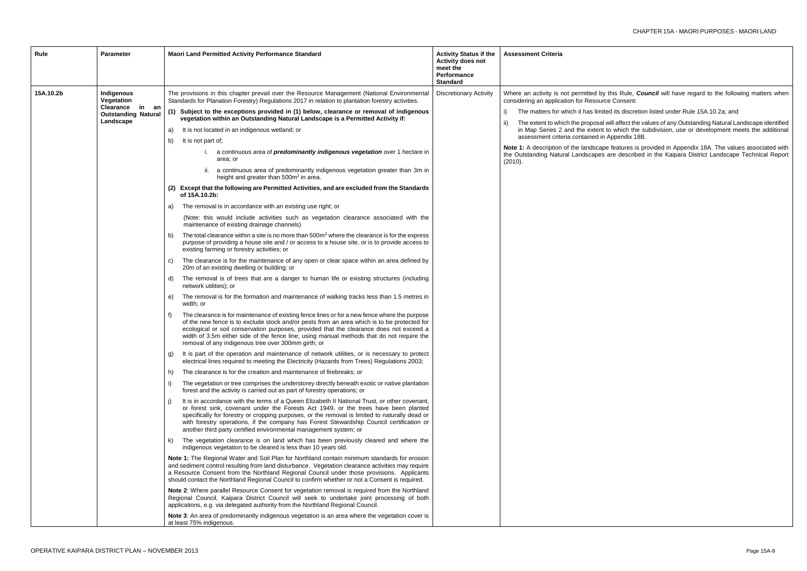this Rule, *Council* will have regard to the following matters when ce Consent:

ted its discretion listed under Rule 15A.10.2a; and

will affect the values of any Outstanding Natural Landscape identified to which the subdivision, use or development meets the additional Appendix 18B.

be features is provided in Appendix 18A. The values associated with are described in the Kaipara District Landscape Technical Report

| Rule<br><b>Parameter</b>                                                                                      | Maori Land Permitted Activity Performance Standard                                                                                                                                                                                                                                                                                                                                                                                                                                                                                                                                                                                                                                                                                                                                                                                                                                                                                                                                                                                                                                                                                                                                                                                                                                                                                                                                                                                                                                                                                                                                                                                                                                                                                                                                                                                                                                                                                                                                                                                                                                                                                                                                                                                                                                                                                                                                                                                                                                                                                                                                                                                                                                                                                                                                                                                                                                                                                                                                                                                                                                                                                                                                                                                                                                                                                                                                                                                                                                                                                                                                                                                                                                                                                                                                                                                                                                                                                                                                                                                                                                                              | <b>Activity Status if the</b><br><b>Activity does not</b><br>meet the<br>Performance<br><b>Standard</b> | <b>Assessment Criteria</b>                                                                                                                                                                                                                                                                                                                |
|---------------------------------------------------------------------------------------------------------------|-----------------------------------------------------------------------------------------------------------------------------------------------------------------------------------------------------------------------------------------------------------------------------------------------------------------------------------------------------------------------------------------------------------------------------------------------------------------------------------------------------------------------------------------------------------------------------------------------------------------------------------------------------------------------------------------------------------------------------------------------------------------------------------------------------------------------------------------------------------------------------------------------------------------------------------------------------------------------------------------------------------------------------------------------------------------------------------------------------------------------------------------------------------------------------------------------------------------------------------------------------------------------------------------------------------------------------------------------------------------------------------------------------------------------------------------------------------------------------------------------------------------------------------------------------------------------------------------------------------------------------------------------------------------------------------------------------------------------------------------------------------------------------------------------------------------------------------------------------------------------------------------------------------------------------------------------------------------------------------------------------------------------------------------------------------------------------------------------------------------------------------------------------------------------------------------------------------------------------------------------------------------------------------------------------------------------------------------------------------------------------------------------------------------------------------------------------------------------------------------------------------------------------------------------------------------------------------------------------------------------------------------------------------------------------------------------------------------------------------------------------------------------------------------------------------------------------------------------------------------------------------------------------------------------------------------------------------------------------------------------------------------------------------------------------------------------------------------------------------------------------------------------------------------------------------------------------------------------------------------------------------------------------------------------------------------------------------------------------------------------------------------------------------------------------------------------------------------------------------------------------------------------------------------------------------------------------------------------------------------------------------------------------------------------------------------------------------------------------------------------------------------------------------------------------------------------------------------------------------------------------------------------------------------------------------------------------------------------------------------------------------------------------------------------------------------------------------------------------------------|---------------------------------------------------------------------------------------------------------|-------------------------------------------------------------------------------------------------------------------------------------------------------------------------------------------------------------------------------------------------------------------------------------------------------------------------------------------|
| 15A.10.2b<br>Indigenous<br>Vegetation<br><b>Clearance</b><br>in an<br><b>Outstanding Natural</b><br>Landscape | The provisions in this chapter prevail over the Resource Management (National Environmental<br>Standards for Planation Forestry) Regulations 2017 in relation to plantation forestry activities.<br>(1) Subject to the exceptions provided in (1) below, clearance or removal of indigenous<br>vegetation within an Outstanding Natural Landscape is a Permitted Activity if:<br>It is not located in an indigenous wetland; or<br>a)<br>It is not part of;<br>b)<br>i. a continuous area of <i>predominantly indigenous vegetation</i> over 1 hectare in<br>area; or<br>ii. a continuous area of predominantly indigenous vegetation greater than 3m in<br>height and greater than 500m <sup>2</sup> in area.<br>(2) Except that the following are Permitted Activities, and are excluded from the Standards<br>of 15A.10.2b:<br>The removal is in accordance with an existing use right; or<br>a)<br>(Note: this would include activities such as vegetation clearance associated with the<br>maintenance of existing drainage channels)<br>The total clearance within a site is no more than 500m <sup>2</sup> where the clearance is for the express<br>b)<br>purpose of providing a house site and / or access to a house site, or is to provide access to<br>existing farming or forestry activities; or<br>The clearance is for the maintenance of any open or clear space within an area defined by<br>C)<br>20m of an existing dwelling or building; or<br>The removal is of trees that are a danger to human life or existing structures (including<br>d)<br>network utilities); or<br>The removal is for the formation and maintenance of walking tracks less than 1.5 metres in<br>e)<br>width; or<br>The clearance is for maintenance of existing fence lines or for a new fence where the purpose<br>f)<br>of the new fence is to exclude stock and/or pests from an area which is to be protected for<br>ecological or soil conservation purposes, provided that the clearance does not exceed a<br>width of 3.5m either side of the fence line; using manual methods that do not require the<br>removal of any indigenous tree over 300mm girth; or<br>It is part of the operation and maintenance of network utilities, or is necessary to protect<br>g)<br>electrical lines required to meeting the Electricity (Hazards from Trees) Regulations 2003;<br>The clearance is for the creation and maintenance of firebreaks; or<br>h)<br>The vegetation or tree comprises the understorey directly beneath exotic or native plantation<br>$\vert$<br>forest and the activity is carried out as part of forestry operations; or<br>It is in accordance with the terms of a Queen Elizabeth II National Trust, or other covenant,<br>$\vert$<br>or forest sink, covenant under the Forests Act 1949, or the trees have been planted<br>specifically for forestry or cropping purposes, or the removal is limited to naturally dead or<br>with forestry operations, if the company has Forest Stewardship Council certification or<br>another third party certified environmental management system; or<br>The vegetation clearance is on land which has been previously cleared and where the<br>k)<br>indigenous vegetation to be cleared is less than 10 years old.<br>Note 1: The Regional Water and Soil Plan for Northland contain minimum standards for erosion<br>and sediment control resulting from land disturbance. Vegetation clearance activities may require<br>a Resource Consent from the Northland Regional Council under those provisions. Applicants<br>should contact the Northland Regional Council to confirm whether or not a Consent is required.<br>Note 2: Where parallel Resource Consent for vegetation removal is required from the Northland<br>Regional Council, Kaipara District Council will seek to undertake joint processing of both<br>applications, e.g. via delegated authority from the Northland Regional Council.<br><b>Note 3:</b> An area of predominantly indigenous vegetation is an area where the vegetation cover is<br>at least 75% indigenous. | <b>Discretionary Activity</b>                                                                           | Where an activity is not permitted by<br>considering an application for Resourc<br>The matters for which it has limite<br>ii)<br>The extent to which the proposal<br>in Map Series 2 and the extent<br>assessment criteria contained in<br><b>Note 1:</b> A description of the landscape<br>the Outstanding Natural Landscapes<br>(2010). |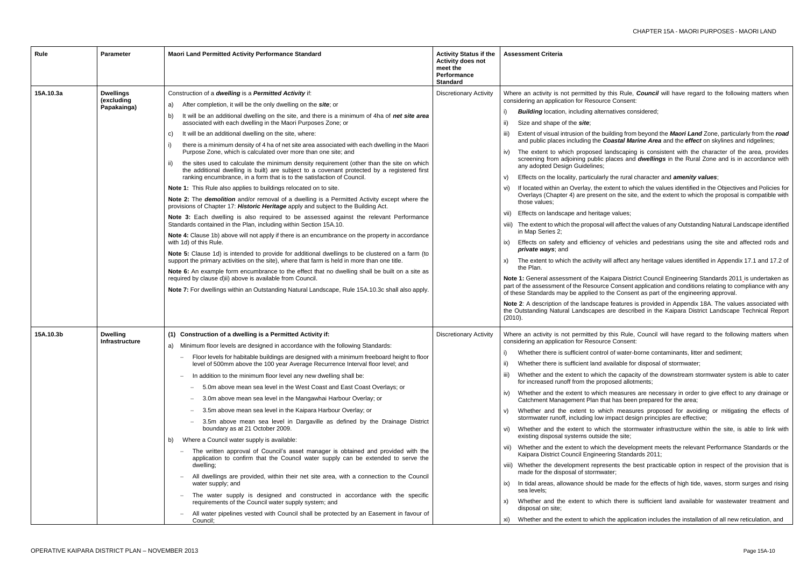this Rule, **Council** will have regard to the following matters when e Consent:

natives considered;

iilding from beyond the **Maori Land** Zone, particularly from the *road* **coastal Marine Area** and the *effect* on skylines and ridgelines;

andscaping is consistent with the character of the area, provides blaces and *dwellings* in the Rural Zone and is in accordance with

the rural character and **amenity values**;

xtent to which the values identified in the Objectives and Policies for on the site, and the extent to which the proposal is compatible with

e values:

will affect the values of any Outstanding Natural Landscape identified

of vehicles and pedestrians using the site and affected rods and

ill affect any heritage values identified in Appendix 17.1 and 17.2 of

ipara District Council Engineering Standards 2011 is undertaken as part Consent application and conditions relating to compliance with any the Consent as part of the engineering approval.

features is provided in Appendix 18A. The values associated with are described in the Kaipara District Landscape Technical Report

this Rule, Council will have regard to the following matters when e Consent:

I of water-borne contaminants, litter and sediment;

vailable for disposal of stormwater;

the capacity of the downstream stormwater system is able to cater bosed allotments;

measures are necessary in order to give effect to any drainage or at has been prepared for the area;

ch measures proposed for avoiding or mitigating the effects of mpact design principles are effective;

i the stormwater infrastructure within the site, is able to link with the site;

the development meets the relevant Performance Standards or the ing Standards 2011;

sents the best practicable option in respect of the provision that is

be made for the effects of high tide, waves, storm surges and rising

th there is sufficient land available for wastewater treatment and

the application includes the installation of all new reticulation, and

| <b>Rule</b> | <b>Parameter</b>                              | Maori Land Permitted Activity Performance Standard                                                                                                                                                                                                                                                                                                                                                                                                                                                                                                                                                                                                                                                                                                                                                                                                                                                                                                                                                                                                                                                                                                                                                                                                                                                                                                                                                                                                                                                                                                                                                                                                                                                                                                                                                                                                  | <b>Activity Status if the</b><br><b>Activity does not</b><br>meet the<br>Performance<br><b>Standard</b> | <b>Assessment Criteria</b>                                                                                                                                                                                                                                                                                                                                                                                                                                                                                                                                                                                                                                                                                                                                                                                                                                                                                                                                                                                                                                      |
|-------------|-----------------------------------------------|-----------------------------------------------------------------------------------------------------------------------------------------------------------------------------------------------------------------------------------------------------------------------------------------------------------------------------------------------------------------------------------------------------------------------------------------------------------------------------------------------------------------------------------------------------------------------------------------------------------------------------------------------------------------------------------------------------------------------------------------------------------------------------------------------------------------------------------------------------------------------------------------------------------------------------------------------------------------------------------------------------------------------------------------------------------------------------------------------------------------------------------------------------------------------------------------------------------------------------------------------------------------------------------------------------------------------------------------------------------------------------------------------------------------------------------------------------------------------------------------------------------------------------------------------------------------------------------------------------------------------------------------------------------------------------------------------------------------------------------------------------------------------------------------------------------------------------------------------------|---------------------------------------------------------------------------------------------------------|-----------------------------------------------------------------------------------------------------------------------------------------------------------------------------------------------------------------------------------------------------------------------------------------------------------------------------------------------------------------------------------------------------------------------------------------------------------------------------------------------------------------------------------------------------------------------------------------------------------------------------------------------------------------------------------------------------------------------------------------------------------------------------------------------------------------------------------------------------------------------------------------------------------------------------------------------------------------------------------------------------------------------------------------------------------------|
| 15A.10.3a   | <b>Dwellings</b><br>(excluding<br>Papakainga) | Construction of a dwelling is a Permitted Activity if:<br>After completion, it will be the only dwelling on the site; or<br>a)<br>It will be an additional dwelling on the site, and there is a minimum of 4ha of net site area<br>b)<br>associated with each dwelling in the Maori Purposes Zone; or<br>It will be an additional dwelling on the site, where:<br>C)<br>there is a minimum density of 4 ha of net site area associated with each dwelling in the Maori<br>Purpose Zone, which is calculated over more than one site; and<br>the sites used to calculate the minimum density requirement (other than the site on which<br>ii)<br>the additional dwelling is built) are subject to a covenant protected by a registered first<br>ranking encumbrance, in a form that is to the satisfaction of Council.<br>Note 1: This Rule also applies to buildings relocated on to site.<br>Note 2: The demolition and/or removal of a dwelling is a Permitted Activity except where the<br>provisions of Chapter 17: Historic Heritage apply and subject to the Building Act.<br>Note 3: Each dwelling is also required to be assessed against the relevant Performance<br>Standards contained in the Plan, including within Section 15A.10.<br>Note 4: Clause 1b) above will not apply if there is an encumbrance on the property in accordance<br>with 1d) of this Rule.<br>Note 5: Clause 1d) is intended to provide for additional dwellings to be clustered on a farm (to<br>support the primary activities on the site), where that farm is held in more than one title.<br>Note 6: An example form encumbrance to the effect that no dwelling shall be built on a site as<br>required by clause d)ii) above is available from Council.<br>Note 7: For dwellings within an Outstanding Natural Landscape, Rule 15A.10.3c shall also apply. | <b>Discretionary Activity</b>                                                                           | Where an activity is not permitted by this<br>considering an application for Resource C<br><b>Building</b> location, including alternati<br>Size and shape of the <b>site</b> ;<br>ii)<br>Extent of visual intrusion of the buildi<br>iii)<br>and public places including the Coas<br>The extent to which proposed land<br>iv)<br>screening from adjoining public plac<br>any adopted Design Guidelines;<br>Effects on the locality, particularly the<br>V)<br>If located within an Overlay, the exter<br>vi)<br>Overlays (Chapter 4) are present on<br>those values:<br>Effects on landscape and heritage va<br>vii)<br>viii) The extent to which the proposal will<br>in Map Series 2;<br>Effects on safety and efficiency of<br>ix)<br>private ways; and<br>The extent to which the activity will a<br>X)<br>the Plan.<br>Note 1: General assessment of the Kaipa<br>part of the assessment of the Resource Co<br>of these Standards may be applied to the<br>Note 2: A description of the landscape fe<br>the Outstanding Natural Landscapes are<br>(2010). |
| 15A.10.3b   | <b>Dwelling</b><br>Infrastructure             | (1) Construction of a dwelling is a Permitted Activity if:<br>Minimum floor levels are designed in accordance with the following Standards:<br>a)<br>Floor levels for habitable buildings are designed with a minimum freeboard height to floor<br>level of 500mm above the 100 year Average Recurrence Interval floor level; and<br>In addition to the minimum floor level any new dwelling shall be:<br>$\overline{\phantom{m}}$<br>5.0m above mean sea level in the West Coast and East Coast Overlays; or<br>3.0m above mean sea level in the Mangawhai Harbour Overlay; or<br>3.5m above mean sea level in the Kaipara Harbour Overlay; or<br>3.5m above mean sea level in Dargaville as defined by the Drainage District<br>boundary as at 21 October 2009.<br>Where a Council water supply is available:<br>b)<br>The written approval of Council's asset manager is obtained and provided with the<br>application to confirm that the Council water supply can be extended to serve the<br>dwelling;<br>All dwellings are provided, within their net site area, with a connection to the Council<br>water supply; and<br>The water supply is designed and constructed in accordance with the specific<br>requirements of the Council water supply system; and<br>All water pipelines vested with Council shall be protected by an Easement in favour of<br>Council;                                                                                                                                                                                                                                                                                                                                                                                                                                                                         | <b>Discretionary Activity</b>                                                                           | Where an activity is not permitted by this<br>considering an application for Resource C<br>Whether there is sufficient control of<br>i)<br>Whether there is sufficient land avail<br>ii)<br>Whether and the extent to which the<br>iii)<br>for increased runoff from the propose<br>Whether and the extent to which me<br>iv)<br>Catchment Management Plan that ha<br>Whether and the extent to which<br>V)<br>stormwater runoff, including low impa<br>Whether and the extent to which th<br>vi)<br>existing disposal systems outside the<br>vii) Whether and the extent to which the<br>Kaipara District Council Engineering<br>viii) Whether the development represent<br>made for the disposal of stormwater;<br>In tidal areas, allowance should be r<br>ix)<br>sea levels;<br>Whether and the extent to which t<br>X)<br>disposal on site;<br>Whether and the extent to which the<br>xi)                                                                                                                                                                  |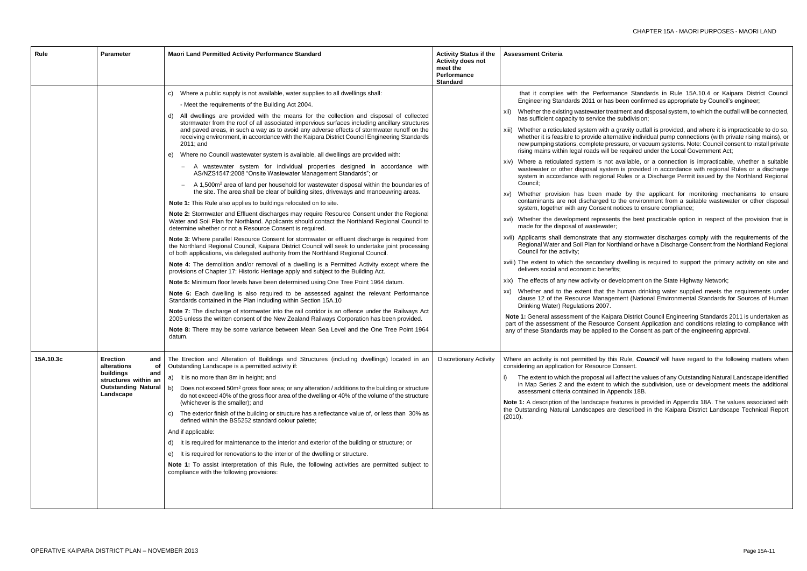- rmance Standards in Rule 15A.10.4 or Kaipara District Council as been confirmed as appropriate by Council's engineer;
- treatment and disposal system, to which the outfall will be connected, the subdivision;
- h a gravity outfall is provided, and where it is impracticable to do so, Iternative individual pump connections (with private rising mains), or pressure, or vacuum systems. Note: Council consent to install private Il be required under the Local Government Act;
- not available, or a connection is impracticable, whether a suitable stem is provided in accordance with regional Rules or a discharge nal Rules or a Discharge Permit issued by the Northland Regional
- made by the applicant for monitoring mechanisms to ensure d to the environment from a suitable wastewater or other disposal nt notices to ensure compliance;
- sents the best practicable option in respect of the provision that is
- at any stormwater discharges comply with the requirements of the Northland or have a Discharge Consent from the Northland Regional
- ary dwelling is required to support the primary activity on site and
- development on the State Highway Network;
- the human drinking water supplied meets the requirements under agement (National Environmental Standards for Sources of Human
- aipara District Council Engineering Standards 2011 is undertaken as rce Consent Application and conditions relating to compliance with ed to the Consent as part of the engineering approval.
- this Rule, **Council** will have regard to the following matters when ce Consent.
- will affect the values of any Outstanding Natural Landscape identified to which the subdivision, use or development meets the additional Appendix 18B.
- features is provided in Appendix 18A. The values associated with are described in the Kaipara District Landscape Technical Report

| Rule      | <b>Parameter</b>                                                                                                                          | Maori Land Permitted Activity Performance Standard                                                                                                                                                                                                                                                                                                                                                                                                                                                                                                                                                                                                                                                                                                                                                                                                                                                                                                                                                                                                                                                                                                                                                                                                                                                                                                                                                                                                                                                                                                                                                                                                                                                                                                                                                                                                                                                                                                                                                                                                                                                                                                                                                                                                                                                                                                          | <b>Activity Status if the</b><br><b>Activity does not</b><br>meet the<br>Performance<br><b>Standard</b> | <b>Assessment Criteria</b>                                                                                                                                                                                                                                                                                                                                                                                                                                                                                                                                                                                                                                                                                                                                                                                                                                                                                                                                                                                                                                                                                                                                                                                                                |
|-----------|-------------------------------------------------------------------------------------------------------------------------------------------|-------------------------------------------------------------------------------------------------------------------------------------------------------------------------------------------------------------------------------------------------------------------------------------------------------------------------------------------------------------------------------------------------------------------------------------------------------------------------------------------------------------------------------------------------------------------------------------------------------------------------------------------------------------------------------------------------------------------------------------------------------------------------------------------------------------------------------------------------------------------------------------------------------------------------------------------------------------------------------------------------------------------------------------------------------------------------------------------------------------------------------------------------------------------------------------------------------------------------------------------------------------------------------------------------------------------------------------------------------------------------------------------------------------------------------------------------------------------------------------------------------------------------------------------------------------------------------------------------------------------------------------------------------------------------------------------------------------------------------------------------------------------------------------------------------------------------------------------------------------------------------------------------------------------------------------------------------------------------------------------------------------------------------------------------------------------------------------------------------------------------------------------------------------------------------------------------------------------------------------------------------------------------------------------------------------------------------------------------------------|---------------------------------------------------------------------------------------------------------|-------------------------------------------------------------------------------------------------------------------------------------------------------------------------------------------------------------------------------------------------------------------------------------------------------------------------------------------------------------------------------------------------------------------------------------------------------------------------------------------------------------------------------------------------------------------------------------------------------------------------------------------------------------------------------------------------------------------------------------------------------------------------------------------------------------------------------------------------------------------------------------------------------------------------------------------------------------------------------------------------------------------------------------------------------------------------------------------------------------------------------------------------------------------------------------------------------------------------------------------|
|           |                                                                                                                                           | c) Where a public supply is not available, water supplies to all dwellings shall:<br>- Meet the requirements of the Building Act 2004.<br>d) All dwellings are provided with the means for the collection and disposal of collected<br>stormwater from the roof of all associated impervious surfaces including ancillary structures<br>and paved areas, in such a way as to avoid any adverse effects of stormwater runoff on the<br>receiving environment, in accordance with the Kaipara District Council Engineering Standards<br>2011; and<br>e) Where no Council wastewater system is available, all dwellings are provided with:<br>A wastewater system for individual properties designed in accordance with<br>AS/NZS1547:2008 "Onsite Wastewater Management Standards"; or<br>A 1,500m <sup>2</sup> area of land per household for wastewater disposal within the boundaries of<br>the site. The area shall be clear of building sites, driveways and manoeuvring areas.<br>Note 1: This Rule also applies to buildings relocated on to site.<br>Note 2: Stormwater and Effluent discharges may require Resource Consent under the Regional<br>Water and Soil Plan for Northland. Applicants should contact the Northland Regional Council to<br>determine whether or not a Resource Consent is required.<br>Note 3: Where parallel Resource Consent for stormwater or effluent discharge is required from<br>the Northland Regional Council, Kaipara District Council will seek to undertake joint processing<br>of both applications, via delegated authority from the Northland Regional Council.<br>Note 4: The demolition and/or removal of a dwelling is a Permitted Activity except where the<br>provisions of Chapter 17: Historic Heritage apply and subject to the Building Act.<br>Note 5: Minimum floor levels have been determined using One Tree Point 1964 datum.<br>Note 6: Each dwelling is also required to be assessed against the relevant Performance<br>Standards contained in the Plan including within Section 15A.10<br>Note 7: The discharge of stormwater into the rail corridor is an offence under the Railways Act<br>2005 unless the written consent of the New Zealand Railways Corporation has been provided.<br>Note 8: There may be some variance between Mean Sea Level and the One Tree Point 1964<br>datum. |                                                                                                         | that it complies with the Performar<br>Engineering Standards 2011 or has be<br>Whether the existing wastewater treatr<br>XII)<br>has sufficient capacity to service the s<br>xiii) Whether a reticulated system with a g<br>whether it is feasible to provide alterna<br>new pumping stations, complete press<br>rising mains within legal roads will be<br>xiv) Where a reticulated system is not av<br>wastewater or other disposal system<br>system in accordance with regional R<br>Council;<br>Whether provision has been made<br>XV)<br>contaminants are not discharged to t<br>system, together with any Consent no<br>xvi) Whether the development represents<br>made for the disposal of wastewater;<br>xvii) Applicants shall demonstrate that any<br>Regional Water and Soil Plan for North<br>Council for the activity;<br>xviii) The extent to which the secondary d<br>delivers social and economic benefits;<br>xix) The effects of any new activity or deve<br>Whether and to the extent that the h<br>XX)<br>clause 12 of the Resource Managem<br>Drinking Water) Regulations 2007.<br>Note 1: General assessment of the Kaipara<br>part of the assessment of the Resource C<br>any of these Standards may be applied to |
| 15A.10.3c | <b>Erection</b><br>and<br>alterations<br><b>of</b><br>buildings<br>and<br>structures within an<br><b>Outstanding Natural</b><br>Landscape | The Erection and Alteration of Buildings and Structures (including dwellings) located in an<br>Outstanding Landscape is a permitted activity if:<br>It is no more than 8m in height; and<br>a)<br>b) Does not exceed $50m^2$ gross floor area; or any alteration / additions to the building or structure<br>do not exceed 40% of the gross floor area of the dwelling or 40% of the volume of the structure<br>(whichever is the smaller); and<br>The exterior finish of the building or structure has a reflectance value of, or less than 30% as<br>C)<br>defined within the BS5252 standard colour palette;<br>And if applicable:<br>It is required for maintenance to the interior and exterior of the building or structure; or<br>d)<br>It is required for renovations to the interior of the dwelling or structure.<br>e)<br>Note 1: To assist interpretation of this Rule, the following activities are permitted subject to<br>compliance with the following provisions:                                                                                                                                                                                                                                                                                                                                                                                                                                                                                                                                                                                                                                                                                                                                                                                                                                                                                                                                                                                                                                                                                                                                                                                                                                                                                                                                                                          | <b>Discretionary Activity</b>                                                                           | Where an activity is not permitted by this<br>considering an application for Resource Co<br>The extent to which the proposal will af<br>i)<br>in Map Series 2 and the extent to wh<br>assessment criteria contained in Appe<br>Note 1: A description of the landscape feat<br>the Outstanding Natural Landscapes are o<br>(2010).                                                                                                                                                                                                                                                                                                                                                                                                                                                                                                                                                                                                                                                                                                                                                                                                                                                                                                         |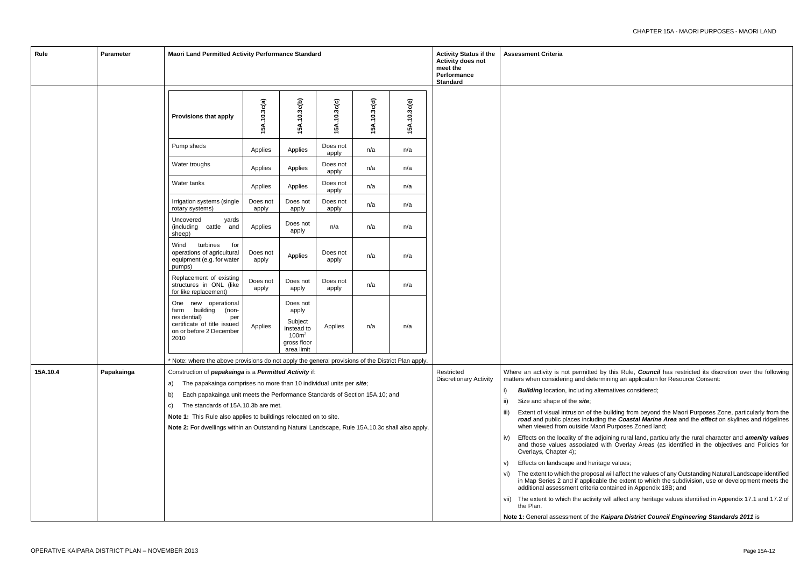by this Rule, *Council* has restricted its discretion over the following mining an application for Resource Consent:

ernatives considered;

building from beyond the Maori Purposes Zone, particularly from the *rg* the *Coastal Marine Area* and the *effect* on skylines and ridgelines ri Purposes Zoned land;

vi) The extent to which the proposal will affect the values of any Outstanding Natural Landscape identified in Map Series 2 and if applicable the extent to which the subdivision, use or development meets the contained in Appendix 18B; and

will affect any heritage values identified in Appendix 17.1 and 17.2 of

**Kaipara District Council Engineering Standards 2011** is

| Rule     | Parameter  |                                                                                                                                                                      | <b>Maori Land Permitted Activity Performance Standard</b> |                                                                                              |                   |              |              |                                             |      | <b>Assessment Criteria</b>                                                                                |  |
|----------|------------|----------------------------------------------------------------------------------------------------------------------------------------------------------------------|-----------------------------------------------------------|----------------------------------------------------------------------------------------------|-------------------|--------------|--------------|---------------------------------------------|------|-----------------------------------------------------------------------------------------------------------|--|
|          |            | <b>Provisions that apply</b>                                                                                                                                         | 15A.10.3c(a)                                              | 15A.10.3c(b)                                                                                 | 15A.10.3c(c)      | 15A.10.3c(d) | 15A.10.3c(e) |                                             |      |                                                                                                           |  |
|          |            | Pump sheds                                                                                                                                                           | Applies                                                   | Applies                                                                                      | Does not<br>apply | n/a          | n/a          |                                             |      |                                                                                                           |  |
|          |            | Water troughs                                                                                                                                                        | Applies                                                   | Applies                                                                                      | Does not<br>apply | n/a          | n/a          |                                             |      |                                                                                                           |  |
|          |            | Water tanks                                                                                                                                                          | Applies                                                   | Applies                                                                                      | Does not<br>apply | n/a          | n/a          |                                             |      |                                                                                                           |  |
|          |            | Irrigation systems (single<br>rotary systems)                                                                                                                        | Does not<br>apply                                         | Does not<br>apply                                                                            | Does not<br>apply | n/a          | n/a          |                                             |      |                                                                                                           |  |
|          |            | Uncovered<br>yards<br>(including<br>cattle<br>and<br>sheep)                                                                                                          | Applies                                                   | Does not<br>apply                                                                            | n/a               | n/a          | n/a          |                                             |      |                                                                                                           |  |
|          |            | turbines<br>Wind<br>for<br>operations of agricultural<br>equipment (e.g. for water<br>pumps)                                                                         | Does not<br>apply                                         | Applies                                                                                      | Does not<br>apply | n/a          | n/a          |                                             |      |                                                                                                           |  |
|          |            | Replacement of existing<br>structures in ONL (like<br>for like replacement)                                                                                          | Does not<br>apply                                         | Does not<br>apply                                                                            | Does not<br>apply | n/a          | n/a          |                                             |      |                                                                                                           |  |
|          |            | One new operational<br>building<br>farm<br>(non-<br>residential)<br>per<br>certificate of title issued<br>on or before 2 December<br>2010                            | Applies                                                   | Does not<br>apply<br>Subject<br>instead to<br>100m <sup>2</sup><br>gross floor<br>area limit | Applies           | n/a          | n/a          |                                             |      |                                                                                                           |  |
|          |            | * Note: where the above provisions do not apply the general provisions of the District Plan apply.                                                                   |                                                           |                                                                                              |                   |              |              |                                             |      |                                                                                                           |  |
| 15A.10.4 | Papakainga | Construction of <i>papakainga</i> is a <i>Permitted Activity</i> if:<br>The papakainga comprises no more than 10 individual units per site;<br>a)                    |                                                           |                                                                                              |                   |              |              | Restricted<br><b>Discretionary Activity</b> |      | Where an activity is not permitted by<br>matters when considering and determ                              |  |
|          |            | Each papakainga unit meets the Performance Standards of Section 15A.10; and<br>b)                                                                                    |                                                           |                                                                                              |                   |              |              |                                             | i)   | <b>Building</b> location, including alte                                                                  |  |
|          |            | The standards of 15A.10.3b are met.<br>C)                                                                                                                            |                                                           |                                                                                              |                   |              |              |                                             | ii)  | Size and shape of the site;                                                                               |  |
|          |            | Note 1: This Rule also applies to buildings relocated on to site.<br>Note 2: For dwellings within an Outstanding Natural Landscape, Rule 15A.10.3c shall also apply. |                                                           |                                                                                              |                   |              |              |                                             | III) | Extent of visual intrusion of the<br>road and public places including<br>when viewed from outside Maor    |  |
|          |            |                                                                                                                                                                      |                                                           |                                                                                              |                   |              |              |                                             | IV)  | Effects on the locality of the adjo<br>and those values associated w<br>Overlays, Chapter 4);             |  |
|          |            |                                                                                                                                                                      |                                                           |                                                                                              |                   |              |              |                                             | V)   | Effects on landscape and herita                                                                           |  |
|          |            |                                                                                                                                                                      |                                                           |                                                                                              |                   |              |              |                                             | VI)  | The extent to which the proposal<br>in Map Series 2 and if applicabl<br>additional assessment criteria co |  |
|          |            |                                                                                                                                                                      |                                                           |                                                                                              |                   |              |              |                                             |      | vii) The extent to which the activity<br>the Plan.                                                        |  |
|          |            |                                                                                                                                                                      |                                                           |                                                                                              |                   |              |              |                                             |      | Note 1: General assessment of the <i>K</i>                                                                |  |

iv) Effects on the locality of the adjoining rural land, particularly the rural character and *amenity values* and those values associated with Overlay Areas (as identified in the objectives and Policies for

age values;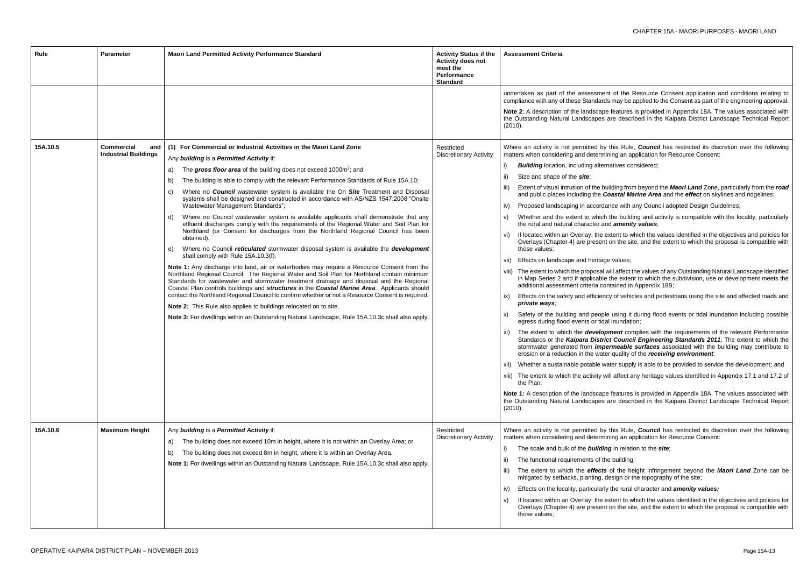nt of the Resource Consent application and conditions relating to ls may be applied to the Consent as part of the engineering approval.

features is provided in Appendix 18A. The values associated with are described in the Kaipara District Landscape Technical Report

this Rule, *Council* has restricted its discretion over the following ning an application for Resource Consent:

natives considered;

iilding from beyond the *Maori Land* Zone, particularly from the *road* **Coastal Marine Area** and the *effect* on skylines and ridgelines;

ance with any Council adopted Design Guidelines;

the building and activity is compatible with the locality, particularly hd *amenity values*;

extent to which the values identified in the objectives and policies for t on the site, and the extent to which the proposal is compatible with

e values;

will affect the values of any Outstanding Natural Landscape identified the extent to which the subdivision, use or development meets the ntained in Appendix 18B;

cy of vehicles and pedestrians using the site and affected roads and

le using it during flood events or tidal inundation including possible al inundation;

**oment** complies with the requirements of the relevant Performance ct Council Engineering Standards 2011; The extent to which the ermeable surfaces associated with the building may contribute to er quality of the *receiving environment*;

ater supply is able to be provided to service the development; and

ill affect any heritage values identified in Appendix 17.1 and 17.2 of

e features is provided in Appendix 18A. The values associated with are described in the Kaipara District Landscape Technical Report

this Rule, **Council** has restricted its discretion over the following ning an application for Resource Consent:

*ig* in relation to the *site*;

ie building;

of the height infringement beyond the **Maori Land** Zone can be design or the topography of the site;

ifthe rural character and **amenity values;** 

extent to which the values identified in the objectives and policies for t on the site, and the extent to which the proposal is compatible with

| Rule     | <b>Parameter</b>                                        | Maori Land Permitted Activity Performance Standard                                                                                                                                                                                                                                                                                                                                                                                                                                                                                                                                                                                                                                                                                                                                                                                                                                                                                                                                                                                                                                                                                                                                                                                                                                                                                                                                                                                                                                                                                                                                                                                             | <b>Activity Status if the</b><br><b>Activity does not</b><br>meet the<br>Performance<br><b>Standard</b> | <b>Assessment Criteria</b>                                                                                                                                                                                                                                                                                                                                                                                                                                                                                                                                                                                                                                                                                                                                                                                                                                                                                                                                                                                                                                                                                                                                                                                                                                                                          |
|----------|---------------------------------------------------------|------------------------------------------------------------------------------------------------------------------------------------------------------------------------------------------------------------------------------------------------------------------------------------------------------------------------------------------------------------------------------------------------------------------------------------------------------------------------------------------------------------------------------------------------------------------------------------------------------------------------------------------------------------------------------------------------------------------------------------------------------------------------------------------------------------------------------------------------------------------------------------------------------------------------------------------------------------------------------------------------------------------------------------------------------------------------------------------------------------------------------------------------------------------------------------------------------------------------------------------------------------------------------------------------------------------------------------------------------------------------------------------------------------------------------------------------------------------------------------------------------------------------------------------------------------------------------------------------------------------------------------------------|---------------------------------------------------------------------------------------------------------|-----------------------------------------------------------------------------------------------------------------------------------------------------------------------------------------------------------------------------------------------------------------------------------------------------------------------------------------------------------------------------------------------------------------------------------------------------------------------------------------------------------------------------------------------------------------------------------------------------------------------------------------------------------------------------------------------------------------------------------------------------------------------------------------------------------------------------------------------------------------------------------------------------------------------------------------------------------------------------------------------------------------------------------------------------------------------------------------------------------------------------------------------------------------------------------------------------------------------------------------------------------------------------------------------------|
| 15A.10.5 | <b>Commercial</b><br>and<br><b>Industrial Buildings</b> | (1) For Commercial or Industrial Activities in the Maori Land Zone<br>Any building is a Permitted Activity if:<br>The gross floor area of the building does not exceed 1000m <sup>2</sup> ; and<br>a)<br>The building is able to comply with the relevant Performance Standards of Rule 15A.10;<br>b)<br>Where no <b>Council</b> wastewater system is available the On Site Treatment and Disposal<br>C)<br>systems shall be designed and constructed in accordance with AS/NZS 1547:2008 "Onsite<br>Wastewater Management Standards";<br>Where no Council wastewater system is available applicants shall demonstrate that any<br>d)<br>effluent discharges comply with the requirements of the Regional Water and Soil Plan for<br>Northland (or Consent for discharges from the Northland Regional Council has been<br>obtained).<br>Where no Council reticulated stormwater disposal system is available the development<br>e)<br>shall comply with Rule 15A.10.3(f).<br>Note 1: Any discharge into land, air or waterbodies may require a Resource Consent from the<br>Northland Regional Council. The Regional Water and Soil Plan for Northland contain minimum<br>Standards for wastewater and stormwater treatment drainage and disposal and the Regional<br>Coastal Plan controls buildings and structures in the Coastal Marine Area. Applicants should<br>contact the Northland Regional Council to confirm whether or not a Resource Consent is required.<br>Note 2: This Rule also applies to buildings relocated on to site.<br>Note 3: For dwellings within an Outstanding Natural Landscape, Rule 15A.10.3c shall also apply. | Restricted<br><b>Discretionary Activity</b>                                                             | undertaken as part of the assessmer<br>compliance with any of these Standard<br>Note 2: A description of the landscape<br>the Outstanding Natural Landscapes<br>(2010).<br>Where an activity is not permitted by<br>matters when considering and determi<br><b>Building</b> location, including altern<br>i)<br>Size and shape of the <b>site</b> ;<br>ii)<br>Extent of visual intrusion of the bu<br>and public places including the C<br>Proposed landscaping in accorda<br>iv)<br>Whether and the extent to which<br>V)<br>the rural and natural character an<br>If located within an Overlay, the e<br>vi)<br>Overlays (Chapter 4) are present<br>those values;<br>Effects on landscape and heritage<br>vii)<br>viii) The extent to which the proposal v<br>in Map Series 2 and if applicable<br>additional assessment criteria cor<br>Effects on the safety and efficiend<br>IX)<br>private ways;<br>Safety of the building and people<br>X)<br>egress during flood events or tida<br>The extent to which the develop<br>xi)<br>Standards or the Kaipara Distric<br>stormwater generated from <i>impe</i><br>erosion or a reduction in the wate<br>Whether a sustainable potable wa<br>XII)<br>xiii) The extent to which the activity w<br>the Plan.<br>Note 1: A description of the landscape |
| 15A.10.6 | <b>Maximum Height</b>                                   | Any building is a Permitted Activity if:<br>The building does not exceed 10m in height, where it is not within an Overlay Area; or<br>a)<br>The building does not exceed 8m in height, where it is within an Overlay Area.<br>b)<br>Note 1: For dwellings within an Outstanding Natural Landscape, Rule 15A.10.3c shall also apply.                                                                                                                                                                                                                                                                                                                                                                                                                                                                                                                                                                                                                                                                                                                                                                                                                                                                                                                                                                                                                                                                                                                                                                                                                                                                                                            | Restricted<br><b>Discretionary Activity</b>                                                             | the Outstanding Natural Landscapes<br>(2010).<br>Where an activity is not permitted by<br>matters when considering and determi<br>The scale and bulk of the buildin<br>i)<br>The functional requirements of the<br>The extent to which the effects<br>mitigated by setbacks, planting, d<br>Effects on the locality, particularly<br>(iv<br>If located within an Overlay, the e<br>V)<br>Overlays (Chapter 4) are present                                                                                                                                                                                                                                                                                                                                                                                                                                                                                                                                                                                                                                                                                                                                                                                                                                                                           |
|          |                                                         |                                                                                                                                                                                                                                                                                                                                                                                                                                                                                                                                                                                                                                                                                                                                                                                                                                                                                                                                                                                                                                                                                                                                                                                                                                                                                                                                                                                                                                                                                                                                                                                                                                                |                                                                                                         | those values;                                                                                                                                                                                                                                                                                                                                                                                                                                                                                                                                                                                                                                                                                                                                                                                                                                                                                                                                                                                                                                                                                                                                                                                                                                                                                       |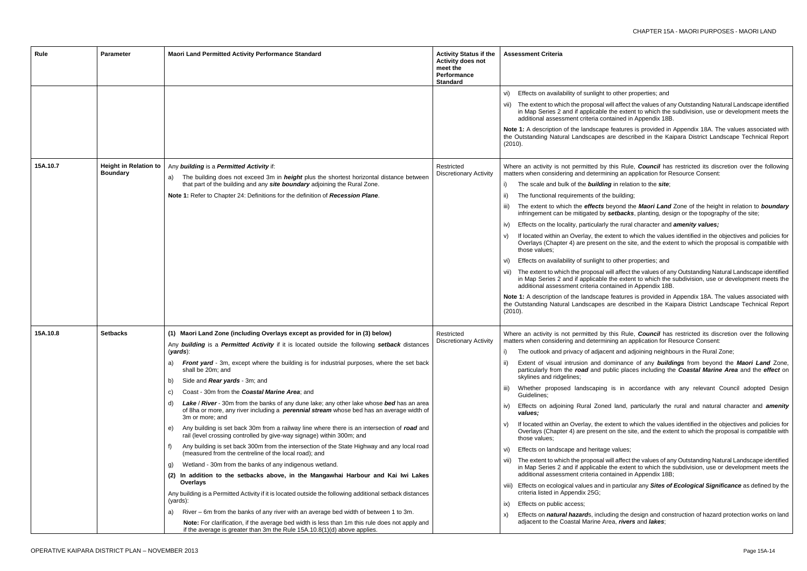#### to other properties; and

will affect the values of any Outstanding Natural Landscape identified the extent to which the subdivision, use or development meets the ntained in Appendix 18B.

features is provided in Appendix 18A. The values associated with are described in the Kaipara District Landscape Technical Report

this Rule, *Council* has restricted its discretion over the following ning an application for Resource Consent:

ightharpoon to the *site*;

e building;

beyond the *Maori Land* Zone of the height in relation to *boundary* setbacks, planting, design or the topography of the site;

the rural character and **amenity values;** 

extent to which the values identified in the objectives and policies for on the site, and the extent to which the proposal is compatible with

to other properties; and

will affect the values of any Outstanding Natural Landscape identified the extent to which the subdivision, use or development meets the ntained in Appendix 18B.

features is provided in Appendix 18A. The values associated with are described in the Kaipara District Landscape Technical Report

this Rule, *Council* has restricted its discretion over the following ning an application for Resource Consent:

ent and adjoining neighbours in the Rural Zone;

ominance of any **buildings** from beyond the **Maori Land** Zone, ublic places including the **Coastal Marine Area** and the *effect* on

is in accordance with any relevant Council adopted Design

ed land, particularly the rural and natural character and *amenity* 

extent to which the values identified in the objectives and policies for on the site, and the extent to which the proposal is compatible with

e values;

will affect the values of any Outstanding Natural Landscape identified the extent to which the subdivision, use or development meets the ntained in Appendix 18B;

in particular any **Sites of Ecological Significance** as defined by the

ding the design and construction of hazard protection works on land rea, *rivers* and *lakes*;

| Rule     | <b>Parameter</b>                                | <b>Maori Land Permitted Activity Performance Standard</b>                                                                                                                                                            | <b>Activity Status if the</b><br><b>Activity does not</b><br>meet the<br><b>Performance</b><br><b>Standard</b> | Assessment Criteria                                                                                                |
|----------|-------------------------------------------------|----------------------------------------------------------------------------------------------------------------------------------------------------------------------------------------------------------------------|----------------------------------------------------------------------------------------------------------------|--------------------------------------------------------------------------------------------------------------------|
|          |                                                 |                                                                                                                                                                                                                      |                                                                                                                | Effects on availability of sunlight t<br>vi)                                                                       |
|          |                                                 |                                                                                                                                                                                                                      |                                                                                                                | vii) The extent to which the proposal v<br>in Map Series 2 and if applicable<br>additional assessment criteria cor |
|          |                                                 |                                                                                                                                                                                                                      |                                                                                                                | Note 1: A description of the landscape<br>the Outstanding Natural Landscapes a<br>(2010).                          |
| 15A.10.7 | <b>Height in Relation to</b><br><b>Boundary</b> | Any building is a Permitted Activity if:<br>The building does not exceed 3m in <i>height</i> plus the shortest horizontal distance between                                                                           | Restricted<br><b>Discretionary Activity</b>                                                                    | Where an activity is not permitted by<br>matters when considering and determin                                     |
|          |                                                 | a)<br>that part of the building and any site boundary adjoining the Rural Zone.                                                                                                                                      |                                                                                                                | The scale and bulk of the <b>buildin</b>                                                                           |
|          |                                                 | Note 1: Refer to Chapter 24: Definitions for the definition of Recession Plane.                                                                                                                                      |                                                                                                                | The functional requirements of the                                                                                 |
|          |                                                 |                                                                                                                                                                                                                      |                                                                                                                | The extent to which the <b>effects</b> b<br>infringement can be mitigated by                                       |
|          |                                                 |                                                                                                                                                                                                                      |                                                                                                                | Effects on the locality, particularly<br>iv)                                                                       |
|          |                                                 |                                                                                                                                                                                                                      |                                                                                                                | If located within an Overlay, the e<br>Overlays (Chapter 4) are present<br>those values;                           |
|          |                                                 |                                                                                                                                                                                                                      |                                                                                                                | Effects on availability of sunlight t<br>VI)                                                                       |
|          |                                                 |                                                                                                                                                                                                                      |                                                                                                                | vii) The extent to which the proposal v<br>in Map Series 2 and if applicable<br>additional assessment criteria cor |
|          |                                                 |                                                                                                                                                                                                                      |                                                                                                                | Note 1: A description of the landscape<br>the Outstanding Natural Landscapes a<br>(2010).                          |
| 15A.10.8 | <b>Setbacks</b>                                 | (1) Maori Land Zone (including Overlays except as provided for in (3) below)                                                                                                                                         | Restricted<br>Discretionary Activity                                                                           | Where an activity is not permitted by<br>matters when considering and determin                                     |
|          |                                                 | Any building is a Permitted Activity if it is located outside the following setback distances<br>(yards):                                                                                                            |                                                                                                                | The outlook and privacy of adjace                                                                                  |
|          |                                                 | Front yard - 3m, except where the building is for industrial purposes, where the set back<br>a)<br>shall be 20m; and                                                                                                 |                                                                                                                | Extent of visual intrusion and do<br>particularly from the road and pu                                             |
|          |                                                 | Side and Rear yards - 3m; and<br>b)                                                                                                                                                                                  |                                                                                                                | skylines and ridgelines;                                                                                           |
|          |                                                 | Coast - 30m from the Coastal Marine Area; and<br>C)                                                                                                                                                                  |                                                                                                                | Whether proposed landscaping<br>III)<br>Guidelines;                                                                |
|          |                                                 | Lake / River - 30m from the banks of any dune lake; any other lake whose bed has an area<br>d)<br>of 8ha or more, any river including a <b>perennial stream</b> whose bed has an average width of<br>3m or more; and |                                                                                                                | Effects on adjoining Rural Zone<br>iv)<br>values;                                                                  |
|          |                                                 | Any building is set back 30m from a railway line where there is an intersection of road and<br>e)<br>rail (level crossing controlled by give-way signage) within 300m; and                                           |                                                                                                                | If located within an Overlay, the e<br>Overlays (Chapter 4) are present<br>those values:                           |
|          |                                                 | Any building is set back 300m from the intersection of the State Highway and any local road<br>f)<br>(measured from the centreline of the local road); and                                                           |                                                                                                                | Effects on landscape and heritage<br>VI)                                                                           |
|          |                                                 | Wetland - 30m from the banks of any indigenous wetland.<br>g)                                                                                                                                                        |                                                                                                                | The extent to which the proposal v<br>in Map Series 2 and if applicable                                            |
|          |                                                 | (2) In addition to the setbacks above, in the Mangawhai Harbour and Kai Iwi Lakes                                                                                                                                    |                                                                                                                | additional assessment criteria cor                                                                                 |
|          |                                                 | Overlays<br>Any building is a Permitted Activity if it is located outside the following additional setback distances                                                                                                 |                                                                                                                | viii) Effects on ecological values and in<br>criteria listed in Appendix 25G;                                      |
|          |                                                 | (yards):                                                                                                                                                                                                             |                                                                                                                | Effects on public access;<br>ix)                                                                                   |
|          |                                                 | River – 6m from the banks of any river with an average bed width of between 1 to 3m.<br>a)<br>Note: For clarification, if the average bed width is less than 1m this rule does not apply and                         |                                                                                                                | Effects on <i>natural hazard</i> s, inclue<br>X)<br>adjacent to the Coastal Marine Ar                              |
|          |                                                 | if the average is greater than 3m the Rule 15A.10.8(1)(d) above applies.                                                                                                                                             |                                                                                                                |                                                                                                                    |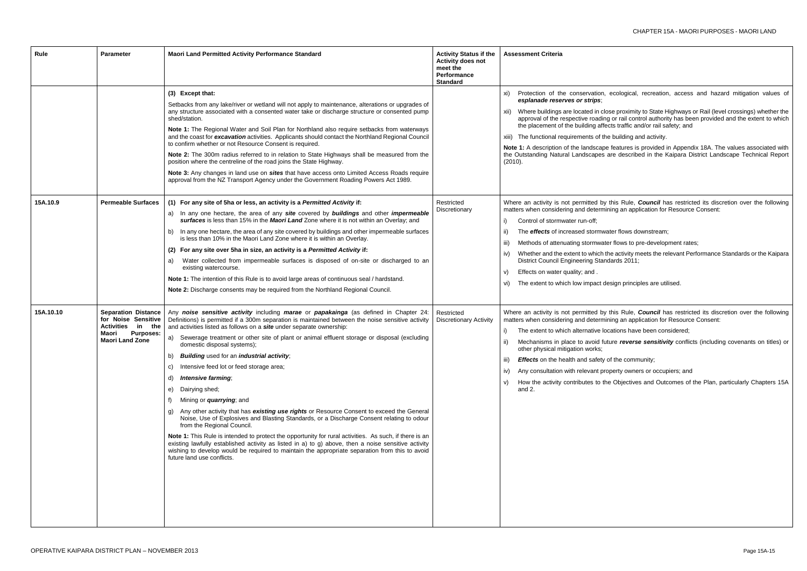ecological, recreation, access and hazard mitigation values of

ose proximity to State Highways or Rail (level crossings) whether the ng or rail control authority has been provided and the extent to which ects traffic and/or rail safety; and

ne building and activity.

e features is provided in Appendix 18A. The values associated with are described in the Kaipara District Landscape Technical Report

this Rule, *Council* has restricted its discretion over the following ining an application for Resource Consent:

ater flows downstream;

ter flows to pre-development rates;

the activity meets the relevant Performance Standards or the Kaipara  $ndards 2011;$ 

esign principles are utilised.

this Rule, **Council** has restricted its discretion over the following ining an application for Resource Consent:

cations have been considered;

iture *reverse sensitivity* conflicts (including covenants on titles) or

of the community;

operty owners or occupiers; and

ne Objectives and Outcomes of the Plan, particularly Chapters 15A

| Rule      | <b>Parameter</b>                                                                                                                        | Maori Land Permitted Activity Performance Standard                                                                                                                                                                                                                                                                                                                                                                                                                                                                                                                                                                                                                                                                                                                                                                                                                                                                                                                                                                                                                                                                                                                                              | <b>Activity Status if the</b><br><b>Activity does not</b><br>meet the<br>Performance<br><b>Standard</b> | <b>Assessment Criteria</b>                                                                                                                                                                                                                                                                                                                                                         |
|-----------|-----------------------------------------------------------------------------------------------------------------------------------------|-------------------------------------------------------------------------------------------------------------------------------------------------------------------------------------------------------------------------------------------------------------------------------------------------------------------------------------------------------------------------------------------------------------------------------------------------------------------------------------------------------------------------------------------------------------------------------------------------------------------------------------------------------------------------------------------------------------------------------------------------------------------------------------------------------------------------------------------------------------------------------------------------------------------------------------------------------------------------------------------------------------------------------------------------------------------------------------------------------------------------------------------------------------------------------------------------|---------------------------------------------------------------------------------------------------------|------------------------------------------------------------------------------------------------------------------------------------------------------------------------------------------------------------------------------------------------------------------------------------------------------------------------------------------------------------------------------------|
|           |                                                                                                                                         | (3) Except that:<br>Setbacks from any lake/river or wetland will not apply to maintenance, alterations or upgrades of<br>any structure associated with a consented water take or discharge structure or consented pump<br>shed/station.<br>Note 1: The Regional Water and Soil Plan for Northland also require setbacks from waterways<br>and the coast for excavation activities. Applicants should contact the Northland Regional Council<br>to confirm whether or not Resource Consent is required.<br>Note 2: The 300m radius referred to in relation to State Highways shall be measured from the<br>position where the centreline of the road joins the State Highway.<br>Note 3: Any changes in land use on sites that have access onto Limited Access Roads require<br>approval from the NZ Transport Agency under the Government Roading Powers Act 1989.                                                                                                                                                                                                                                                                                                                              |                                                                                                         | Protection of the conservation,<br>xi)<br>esplanade reserves or strips;<br>Where buildings are located in clo<br>xii)<br>approval of the respective roading<br>the placement of the building affe<br>xiii) The functional requirements of th<br>Note 1: A description of the landscape<br>the Outstanding Natural Landscapes<br>(2010).                                            |
| 15A.10.9  | <b>Permeable Surfaces</b>                                                                                                               | (1) For any site of 5ha or less, an activity is a Permitted Activity if:<br>In any one hectare, the area of any site covered by buildings and other impermeable<br>a)<br>surfaces is less than 15% in the Maori Land Zone where it is not within an Overlay; and<br>In any one hectare, the area of any site covered by buildings and other impermeable surfaces<br>b)<br>is less than 10% in the Maori Land Zone where it is within an Overlay.<br>(2) For any site over 5ha in size, an activity is a Permitted Activity if:<br>Water collected from impermeable surfaces is disposed of on-site or discharged to an<br>a)<br>existing watercourse.<br>Note 1: The intention of this Rule is to avoid large areas of continuous seal / hardstand.<br>Note 2: Discharge consents may be required from the Northland Regional Council.                                                                                                                                                                                                                                                                                                                                                          | Restricted<br>Discretionary                                                                             | Where an activity is not permitted by<br>matters when considering and determi<br>Control of stormwater run-off;<br>i)<br>The effects of increased stormwa<br>ii)<br>Methods of attenuating stormwate<br>iii)<br>Whether and the extent to which t<br>iv)<br>District Council Engineering Stan<br>Effects on water quality; and .<br>V)<br>The extent to which low impact do<br>vi) |
| 15A.10.10 | <b>Separation Distance</b><br>for Noise Sensitive<br><b>Activities</b><br>in the<br><b>Purposes:</b><br>Maori<br><b>Maori Land Zone</b> | Any noise sensitive activity including marae or papakainga (as defined in Chapter 24:<br>Definitions) is permitted if a 300m separation is maintained between the noise sensitive activity<br>and activities listed as follows on a site under separate ownership:<br>Sewerage treatment or other site of plant or animal effluent storage or disposal (excluding<br>a)<br>domestic disposal systems);<br><b>Building used for an industrial activity;</b><br>b)<br>Intensive feed lot or feed storage area;<br>C)<br>Intensive farming;<br>d)<br>Dairying shed;<br>e)<br>Mining or <i>quarrying</i> ; and<br>f)<br>Any other activity that has existing use rights or Resource Consent to exceed the General<br>g)<br>Noise, Use of Explosives and Blasting Standards, or a Discharge Consent relating to odour<br>from the Regional Council.<br>Note 1: This Rule is intended to protect the opportunity for rural activities. As such, if there is an<br>existing lawfully established activity as listed in a) to g) above, then a noise sensitive activity<br>wishing to develop would be required to maintain the appropriate separation from this to avoid<br>future land use conflicts. | Restricted<br><b>Discretionary Activity</b>                                                             | Where an activity is not permitted by<br>matters when considering and determi<br>The extent to which alternative lo<br>i)<br>Mechanisms in place to avoid fu<br>other physical mitigation works;<br>iii)<br><b>Effects</b> on the health and safety<br>Any consultation with relevant pro<br>iv)<br>How the activity contributes to th<br>V)<br>and $2.$                           |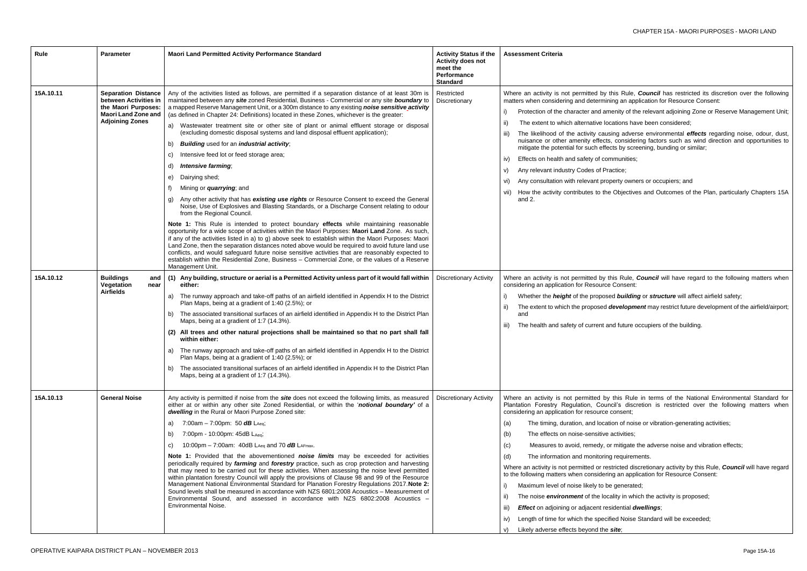- this Rule, *Council* has restricted its discretion over the following ning an application for Resource Consent:
- menity of the relevant adjoining Zone or Reserve Management Unit;
- ocations have been considered;
- ising adverse environmental *effects* regarding noise, odour, dust, ts, considering factors such as wind direction and opportunities to ects by screening, bunding or similar;
- $om$ munities;
- ractice;
- operty owners or occupiers; and
- le Objectives and Outcomes of the Plan, particularly Chapters 15A

this Rule, *Council* will have regard to the following matters when ce Consent:

- sed **building** or *structure* will affect airfield safety;
- idevelopment may restrict future development of the airfield/airport;

and future occupiers of the building.

- this Rule in terms of the National Environmental Standard for Incil's discretion is restricted over the following matters when e consent;
- ation of noise or vibration-generating activities;
- activities;
- or mitigate the adverse noise and vibration effects;
- ng requirements.
- estricted discretionary activity by this Rule, **Council** will have regard ting an application for Resource Consent:
- be generated;
- cality in which the activity is proposed;
- **esidential** *dwellings*;
- ified Noise Standard will be exceeded;
- site;

| Rule      | <b>Parameter</b>                                                                                                                   | Maori Land Permitted Activity Performance Standard                                                                                                                                                                                                                                                                                                                                                                                                                                                                                                                                                                                                                                                                                                                                                                                                                                                                                                                                                                                                                                                                                                                                                                                                                                                                                                                                                                                                                                                                                                                                                                                                   | <b>Activity Status if the</b><br><b>Activity does not</b><br>meet the<br><b>Performance</b><br><b>Standard</b> | <b>Assessment Criteria</b>                                                                                                                                                                                                                                                                                                                                                                                                                                                                                                                                                                        |
|-----------|------------------------------------------------------------------------------------------------------------------------------------|------------------------------------------------------------------------------------------------------------------------------------------------------------------------------------------------------------------------------------------------------------------------------------------------------------------------------------------------------------------------------------------------------------------------------------------------------------------------------------------------------------------------------------------------------------------------------------------------------------------------------------------------------------------------------------------------------------------------------------------------------------------------------------------------------------------------------------------------------------------------------------------------------------------------------------------------------------------------------------------------------------------------------------------------------------------------------------------------------------------------------------------------------------------------------------------------------------------------------------------------------------------------------------------------------------------------------------------------------------------------------------------------------------------------------------------------------------------------------------------------------------------------------------------------------------------------------------------------------------------------------------------------------|----------------------------------------------------------------------------------------------------------------|---------------------------------------------------------------------------------------------------------------------------------------------------------------------------------------------------------------------------------------------------------------------------------------------------------------------------------------------------------------------------------------------------------------------------------------------------------------------------------------------------------------------------------------------------------------------------------------------------|
| 15A.10.11 | <b>Separation Distance</b><br>between Activities in<br>the Maori Purposes:<br><b>Maori Land Zone and</b><br><b>Adjoining Zones</b> | Any of the activities listed as follows, are permitted if a separation distance of at least 30m is<br>maintained between any site zoned Residential, Business - Commercial or any site boundary to<br>a mapped Reserve Management Unit, or a 300m distance to any existing noise sensitive activity<br>(as defined in Chapter 24: Definitions) located in these Zones, whichever is the greater:<br>Wastewater treatment site or other site of plant or animal effluent storage or disposal<br>a)<br>(excluding domestic disposal systems and land disposal effluent application);<br>Building used for an industrial activity;<br>b)<br>Intensive feed lot or feed storage area;<br>C)<br>Intensive farming;<br>d)<br>Dairying shed;<br>e)<br>f)<br>Mining or <i>quarrying</i> ; and<br>Any other activity that has existing use rights or Resource Consent to exceed the General<br>g)<br>Noise, Use of Explosives and Blasting Standards, or a Discharge Consent relating to odour<br>from the Regional Council.<br>Note 1: This Rule is intended to protect boundary effects while maintaining reasonable<br>opportunity for a wide scope of activities within the Maori Purposes: Maori Land Zone. As such,<br>if any of the activities listed in a) to g) above seek to establish within the Maori Purposes: Maori<br>Land Zone, then the separation distances noted above would be required to avoid future land use<br>conflicts, and would safeguard future noise sensitive activities that are reasonably expected to<br>establish within the Residential Zone, Business - Commercial Zone, or the values of a Reserve<br>Management Unit. | Restricted<br>Discretionary                                                                                    | Where an activity is not permitted by<br>matters when considering and determin<br>Protection of the character and ar<br>The extent to which alternative lo<br>The likelihood of the activity cau<br>nuisance or other amenity effects<br>mitigate the potential for such effe<br>Effects on health and safety of co<br>IV)<br>Any relevant industry Codes of Pr<br>V)<br>Any consultation with relevant pro<br>vi)<br>How the activity contributes to the<br>and 2.                                                                                                                               |
| 15A.10.12 | <b>Buildings</b><br>and<br>Vegetation<br>near<br><b>Airfields</b>                                                                  | (1) Any building, structure or aerial is a Permitted Activity unless part of it would fall within<br>either:<br>The runway approach and take-off paths of an airfield identified in Appendix H to the District<br>a)<br>Plan Maps, being at a gradient of 1:40 (2.5%); or<br>The associated transitional surfaces of an airfield identified in Appendix H to the District Plan<br>b)<br>Maps, being at a gradient of 1:7 (14.3%).<br>(2) All trees and other natural projections shall be maintained so that no part shall fall<br>within either:<br>a) The runway approach and take-off paths of an airfield identified in Appendix H to the District<br>Plan Maps, being at a gradient of 1:40 (2.5%); or<br>The associated transitional surfaces of an airfield identified in Appendix H to the District Plan<br>b)<br>Maps, being at a gradient of 1:7 (14.3%).                                                                                                                                                                                                                                                                                                                                                                                                                                                                                                                                                                                                                                                                                                                                                                                  | <b>Discretionary Activity</b>                                                                                  | Where an activity is not permitted by<br>considering an application for Resource<br>Whether the <b>height</b> of the propos<br>The extent to which the proposed<br>and<br>The health and safety of current a<br>III)                                                                                                                                                                                                                                                                                                                                                                              |
| 15A.10.13 | <b>General Noise</b>                                                                                                               | Any activity is permitted if noise from the <i>site</i> does not exceed the following limits, as measured<br>either at or within any other site Zoned Residential, or within the 'notional boundary' of a<br>dwelling in the Rural or Maori Purpose Zoned site:<br>7:00am - 7:00pm: 50 $dB$ L <sub>Aeq</sub> ;<br>a)<br>7:00pm - 10:00pm: 45dB LAeq;<br>b)<br>10:00pm – 7:00am: 40dB LAeq and 70 $dB$ LAFmax.<br>C)<br>Note 1: Provided that the abovementioned noise limits may be exceeded for activities<br>periodically required by farming and forestry practice, such as crop protection and harvesting<br>that may need to be carried out for these activities. When assessing the noise level permitted<br>within plantation forestry Council will apply the provisions of Clause 98 and 99 of the Resource<br>Management National Environmental Standard for Planation Forestry Regulations 2017. Note 2:<br>Sound levels shall be measured in accordance with NZS 6801:2008 Acoustics - Measurement of<br>Environmental Sound, and assessed in accordance with NZS 6802:2008 Acoustics -<br><b>Environmental Noise.</b>                                                                                                                                                                                                                                                                                                                                                                                                                                                                                                                    | <b>Discretionary Activity</b>                                                                                  | Where an activity is not permitted by<br>Plantation Forestry Regulation, Cour<br>considering an application for resource<br>The timing, duration, and loca<br>(a)<br>The effects on noise-sensitive<br>(b)<br>Measures to avoid, remedy, o<br>(c)<br>The information and monitorin<br>(d)<br>Where an activity is not permitted or re<br>to the following matters when consideri<br>Maximum level of noise likely to b<br>The noise environment of the loo<br><b>Effect</b> on adjoining or adjacent re<br>iii)<br>Length of time for which the speci<br>iv)<br>Likely adverse effects beyond the |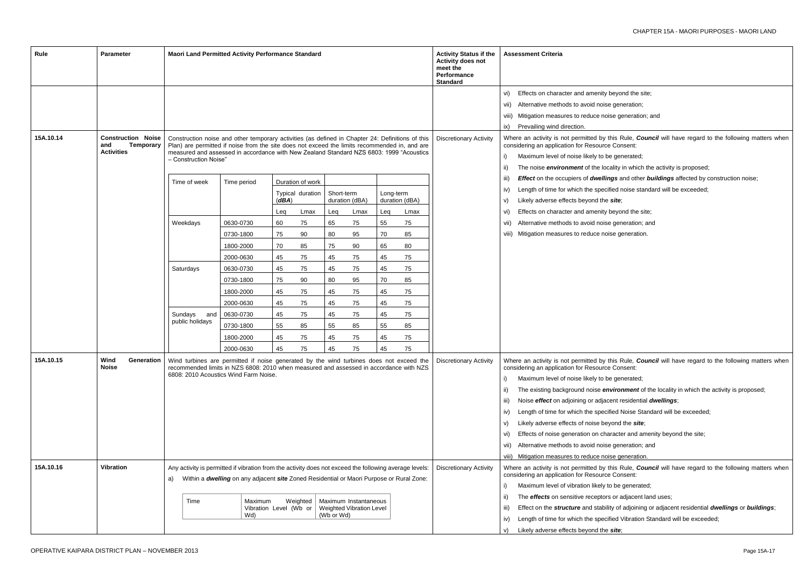- beyond the site;
- se generation;
- pise generation; and

this Rule, *Council* will have regard to the following matters when ce Consent:

- be generated;
- $i$ ocality in which the activity is proposed;
- *ings* and other *buildings* affected by construction noise;
- cified noise standard will be exceeded;

## e *site*;

- beyond the site;
- se generation; and
- pise generation.

this Rule, *Council* will have regard to the following matters when ce Consent:

- be generated;
- environment of the locality in which the activity is proposed;
- acent residential *dwellings*;
- cified Noise Standard will be exceeded;
- eyond the *site*;
- haracter and amenity beyond the site;
- se generation; and
- oise generation.

this Rule, *Council* will have regard to the following matters when ce Consent:

- io be generated;
- $\sigma$  or adjacent land uses;
- $s$ iity of adjoining or adjacent residential *dwellings* or *buildings*;
- cified Vibration Standard will be exceeded;
- e *site*;

| Rule      | <b>Parameter</b>                                                          | <b>Maori Land Permitted Activity Performance Standard</b>                                                                                                                                                                  |                                                                                                                                                                                                                                                                                                                       |                        |                  |            |                                                   |                               |                                                                                                                       | <b>Activity Status if the</b><br><b>Activity does not</b><br>meet the<br>Performance<br><b>Standard</b> |                                         | <b>Assessment Criteria</b>                                                                                                                                                                                                                                                                                                                                                                           |
|-----------|---------------------------------------------------------------------------|----------------------------------------------------------------------------------------------------------------------------------------------------------------------------------------------------------------------------|-----------------------------------------------------------------------------------------------------------------------------------------------------------------------------------------------------------------------------------------------------------------------------------------------------------------------|------------------------|------------------|------------|---------------------------------------------------|-------------------------------|-----------------------------------------------------------------------------------------------------------------------|---------------------------------------------------------------------------------------------------------|-----------------------------------------|------------------------------------------------------------------------------------------------------------------------------------------------------------------------------------------------------------------------------------------------------------------------------------------------------------------------------------------------------------------------------------------------------|
|           |                                                                           |                                                                                                                                                                                                                            |                                                                                                                                                                                                                                                                                                                       |                        |                  |            |                                                   |                               |                                                                                                                       |                                                                                                         | vi)                                     | Effects on character and amenity                                                                                                                                                                                                                                                                                                                                                                     |
|           |                                                                           |                                                                                                                                                                                                                            |                                                                                                                                                                                                                                                                                                                       |                        |                  |            |                                                   |                               |                                                                                                                       |                                                                                                         |                                         | vii) Alternative methods to avoid nois                                                                                                                                                                                                                                                                                                                                                               |
|           |                                                                           |                                                                                                                                                                                                                            |                                                                                                                                                                                                                                                                                                                       |                        |                  |            |                                                   |                               |                                                                                                                       |                                                                                                         |                                         | viii) Mitigation measures to reduce no                                                                                                                                                                                                                                                                                                                                                               |
|           |                                                                           |                                                                                                                                                                                                                            |                                                                                                                                                                                                                                                                                                                       |                        |                  |            |                                                   |                               |                                                                                                                       |                                                                                                         | ix)                                     | Prevailing wind direction.                                                                                                                                                                                                                                                                                                                                                                           |
| 15A.10.14 | <b>Construction Noise</b><br><b>Temporary</b><br>and<br><b>Activities</b> |                                                                                                                                                                                                                            | Construction noise and other temporary activities (as defined in Chapter 24: Definitions of this<br>Plan) are permitted if noise from the site does not exceed the limits recommended in, and are<br>measured and assessed in accordance with New Zealand Standard NZS 6803: 1999 "Acoustics<br>- Construction Noise" |                        |                  |            |                                                   | <b>Discretionary Activity</b> | Where an activity is not permitted by<br>considering an application for Resourd<br>Maximum level of noise likely to I |                                                                                                         |                                         |                                                                                                                                                                                                                                                                                                                                                                                                      |
|           |                                                                           |                                                                                                                                                                                                                            |                                                                                                                                                                                                                                                                                                                       |                        |                  |            |                                                   |                               |                                                                                                                       |                                                                                                         | ii)<br>iii)                             | The noise <i>environment</i> of the lo<br>Effect on the occupiers of dwell                                                                                                                                                                                                                                                                                                                           |
|           |                                                                           | Time of week                                                                                                                                                                                                               | Time period                                                                                                                                                                                                                                                                                                           |                        | Duration of work |            |                                                   |                               |                                                                                                                       |                                                                                                         | iv)                                     | Length of time for which the sped                                                                                                                                                                                                                                                                                                                                                                    |
|           |                                                                           |                                                                                                                                                                                                                            |                                                                                                                                                                                                                                                                                                                       | (dBA)                  | Typical duration | Short-term | duration (dBA)                                    | Long-term<br>duration (dBA)   |                                                                                                                       |                                                                                                         | V)                                      | Likely adverse effects beyond the                                                                                                                                                                                                                                                                                                                                                                    |
|           |                                                                           |                                                                                                                                                                                                                            |                                                                                                                                                                                                                                                                                                                       | Leq                    | Lmax             | Leq        | Lmax                                              | Leq                           | Lmax                                                                                                                  |                                                                                                         | VI)                                     | Effects on character and amenity                                                                                                                                                                                                                                                                                                                                                                     |
|           |                                                                           | Weekdays                                                                                                                                                                                                                   | 0630-0730                                                                                                                                                                                                                                                                                                             | 60                     | 75               | 65         | 75                                                | 55                            | 75                                                                                                                    |                                                                                                         | VII)                                    | Alternative methods to avoid nois                                                                                                                                                                                                                                                                                                                                                                    |
|           |                                                                           |                                                                                                                                                                                                                            | 0730-1800                                                                                                                                                                                                                                                                                                             | 75                     | 90               | 80         | 95                                                | 70                            | 85                                                                                                                    |                                                                                                         |                                         | viii) Mitigation measures to reduce no                                                                                                                                                                                                                                                                                                                                                               |
|           |                                                                           |                                                                                                                                                                                                                            | 1800-2000                                                                                                                                                                                                                                                                                                             | 70                     | 85               | 75         | 90                                                | 65                            | 80                                                                                                                    |                                                                                                         |                                         |                                                                                                                                                                                                                                                                                                                                                                                                      |
|           |                                                                           |                                                                                                                                                                                                                            | 2000-0630                                                                                                                                                                                                                                                                                                             | 45                     | 75               | 45         | 75                                                | 45                            | 75                                                                                                                    |                                                                                                         |                                         |                                                                                                                                                                                                                                                                                                                                                                                                      |
|           |                                                                           | Saturdays                                                                                                                                                                                                                  | 0630-0730                                                                                                                                                                                                                                                                                                             | 45                     | 75               | 45         | 75                                                | 45                            | 75                                                                                                                    |                                                                                                         |                                         |                                                                                                                                                                                                                                                                                                                                                                                                      |
|           |                                                                           |                                                                                                                                                                                                                            | 0730-1800                                                                                                                                                                                                                                                                                                             | 75                     | 90               | 80         | 95                                                | 70                            | 85                                                                                                                    |                                                                                                         |                                         |                                                                                                                                                                                                                                                                                                                                                                                                      |
|           |                                                                           |                                                                                                                                                                                                                            | 1800-2000                                                                                                                                                                                                                                                                                                             | 45                     | 75               | 45         | 75                                                | 45                            | 75                                                                                                                    |                                                                                                         |                                         |                                                                                                                                                                                                                                                                                                                                                                                                      |
|           |                                                                           |                                                                                                                                                                                                                            | 2000-0630                                                                                                                                                                                                                                                                                                             | 45                     | 75               | 45         | 75                                                | 45                            | 75                                                                                                                    |                                                                                                         |                                         |                                                                                                                                                                                                                                                                                                                                                                                                      |
|           |                                                                           | Sundays<br>and                                                                                                                                                                                                             | 0630-0730                                                                                                                                                                                                                                                                                                             | 45                     | 75               | 45         | 75                                                | 45                            | 75                                                                                                                    |                                                                                                         |                                         |                                                                                                                                                                                                                                                                                                                                                                                                      |
|           |                                                                           | public holidays                                                                                                                                                                                                            | 0730-1800                                                                                                                                                                                                                                                                                                             | 55                     | 85               | 55         | 85                                                | 55                            | 85                                                                                                                    |                                                                                                         |                                         |                                                                                                                                                                                                                                                                                                                                                                                                      |
|           |                                                                           |                                                                                                                                                                                                                            | 1800-2000                                                                                                                                                                                                                                                                                                             | 45                     | 75               | 45         | 75                                                | 45                            | 75                                                                                                                    |                                                                                                         |                                         |                                                                                                                                                                                                                                                                                                                                                                                                      |
|           |                                                                           |                                                                                                                                                                                                                            | 2000-0630                                                                                                                                                                                                                                                                                                             | 45                     | 75               | 45         | 75                                                | 45                            | 75                                                                                                                    |                                                                                                         |                                         |                                                                                                                                                                                                                                                                                                                                                                                                      |
| 15A.10.15 | Wind<br><b>Generation</b><br><b>Noise</b>                                 | Wind turbines are permitted if noise generated by the wind turbines does not exceed the<br>recommended limits in NZS 6808: 2010 when measured and assessed in accordance with NZS<br>6808: 2010 Acoustics Wind Farm Noise. |                                                                                                                                                                                                                                                                                                                       |                        |                  |            |                                                   |                               |                                                                                                                       | <b>Discretionary Activity</b>                                                                           | ii)<br>iii)<br>iv)<br>V)<br>vi)<br>VII) | Where an activity is not permitted by<br>considering an application for Resourd<br>Maximum level of noise likely to I<br>The existing background noise e.<br>Noise <i>effect</i> on adjoining or adja<br>Length of time for which the spec<br>Likely adverse effects of noise be<br>Effects of noise generation on ch<br>Alternative methods to avoid nois<br>viii) Mitigation measures to reduce no |
| 15A.10.16 | <b>Vibration</b>                                                          | Any activity is permitted if vibration from the activity does not exceed the following average levels:<br>a)<br>Time                                                                                                       | Within a dwelling on any adjacent site Zoned Residential or Maori Purpose or Rural Zone:<br>Maximum<br>Wd)                                                                                                                                                                                                            | Vibration Level (Wb or | Weighted         | (Wb or Wd) | Maximum Instantaneous<br>Weighted Vibration Level |                               |                                                                                                                       | <b>Discretionary Activity</b>                                                                           | ii)<br>iii)<br>iv)<br>V)                | Where an activity is not permitted by<br>considering an application for Resourd<br>Maximum level of vibration likely<br>The <i>effects</i> on sensitive recepto<br>Effect on the <i>structure</i> and stabi<br>Length of time for which the sped<br>Likely adverse effects beyond the                                                                                                                |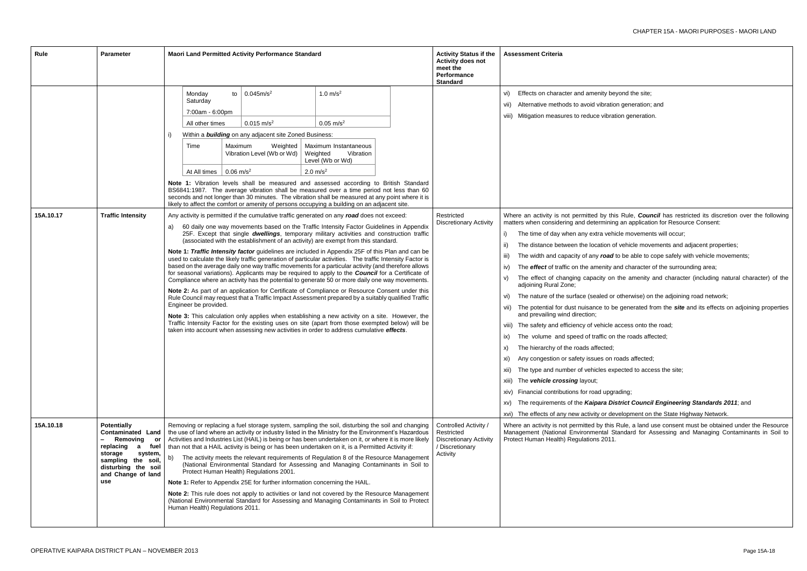beyond the site; ation generation; and

bration generation.

this Rule, *Council* has restricted its discretion over the following ining an application for Resource Consent:

vehicle movements will occur;

in of vehicle movements and adjacent properties;

ad to be able to cope safely with vehicle movements;

ity and character of the surrounding area;

on the amenity and character (including natural character) of the

I or otherwise) on the adjoining road network;

o be generated from the *site* and its effects on adjoining properties

cle access onto the road;

on the roads affected;

on roads affected;

expected to access the site;

pgrading;

**District Council Engineering Standards 2011**; and

development on the State Highway Network.

his Rule, a land use consent must be obtained under the Resource Standard for Assessing and Managing Contaminants in Soil to

| Rule      | <b>Parameter</b>                                                                                                                                                                           | Maori Land Permitted Activity Performance Standard                                                                                                                                                                                                                                                                                                                                                                                                                                                                                                                                                                                                                                                                                                                                                                                                                                                                                                                                                                                                                                                                                                                                                                                                                                                                                                                                                                                                      | <b>Activity Status if the</b><br><b>Activity does not</b><br>meet the<br><b>Performance</b><br><b>Standard</b> | <b>Assessment Criteria</b>                                                                                                                                                                                                                                                                                                                                                                                                                                                                                                                                                                                                                                                                                                                                                                                                                                                                                                                 |
|-----------|--------------------------------------------------------------------------------------------------------------------------------------------------------------------------------------------|---------------------------------------------------------------------------------------------------------------------------------------------------------------------------------------------------------------------------------------------------------------------------------------------------------------------------------------------------------------------------------------------------------------------------------------------------------------------------------------------------------------------------------------------------------------------------------------------------------------------------------------------------------------------------------------------------------------------------------------------------------------------------------------------------------------------------------------------------------------------------------------------------------------------------------------------------------------------------------------------------------------------------------------------------------------------------------------------------------------------------------------------------------------------------------------------------------------------------------------------------------------------------------------------------------------------------------------------------------------------------------------------------------------------------------------------------------|----------------------------------------------------------------------------------------------------------------|--------------------------------------------------------------------------------------------------------------------------------------------------------------------------------------------------------------------------------------------------------------------------------------------------------------------------------------------------------------------------------------------------------------------------------------------------------------------------------------------------------------------------------------------------------------------------------------------------------------------------------------------------------------------------------------------------------------------------------------------------------------------------------------------------------------------------------------------------------------------------------------------------------------------------------------------|
|           |                                                                                                                                                                                            | 1.0 $m/s^2$<br>0.045m/s <sup>2</sup><br>Monday<br>to<br>Saturday<br>7:00am - 6:00pm<br>$0.015$ m/s <sup>2</sup><br>$0.05 \text{ m/s}^2$<br>All other times<br>Within a <b>building</b> on any adjacent site Zoned Business:<br>Time<br>Maximum<br>Weighted<br>Maximum Instantaneous<br>Vibration Level (Wb or Wd)<br>Weighted<br>Vibration<br>Level (Wb or Wd)<br>$0.06$ m/s <sup>2</sup><br>$2.0 \text{ m/s}^2$<br>At All times<br>Note 1: Vibration levels shall be measured and assessed according to British Standard<br>BS6841:1987. The average vibration shall be measured over a time period not less than 60<br>seconds and not longer than 30 minutes. The vibration shall be measured at any point where it is<br>likely to affect the comfort or amenity of persons occupying a building on an adjacent site.                                                                                                                                                                                                                                                                                                                                                                                                                                                                                                                                                                                                                               |                                                                                                                | Effects on character and amenity be<br>Vi)<br>Alternative methods to avoid vibratio<br>Vii)<br>Mitigation measures to reduce vibrat<br>viii)                                                                                                                                                                                                                                                                                                                                                                                                                                                                                                                                                                                                                                                                                                                                                                                               |
| 15A.10.17 | <b>Traffic Intensity</b>                                                                                                                                                                   | Any activity is permitted if the cumulative traffic generated on any road does not exceed:<br>60 daily one way movements based on the Traffic Intensity Factor Guidelines in Appendix<br>a)<br>25F. Except that single dwellings, temporary military activities and construction traffic<br>(associated with the establishment of an activity) are exempt from this standard.<br>Note 1: Traffic Intensity factor guidelines are included in Appendix 25F of this Plan and can be<br>used to calculate the likely traffic generation of particular activities. The traffic Intensity Factor is<br>based on the average daily one way traffic movements for a particular activity (and therefore allows<br>for seasonal variations). Applicants may be required to apply to the <b>Council</b> for a Certificate of<br>Compliance where an activity has the potential to generate 50 or more daily one way movements.<br>Note 2: As part of an application for Certificate of Compliance or Resource Consent under this<br>Rule Council may request that a Traffic Impact Assessment prepared by a suitably qualified Traffic<br>Engineer be provided.<br>Note 3: This calculation only applies when establishing a new activity on a site. However, the<br>Traffic Intensity Factor for the existing uses on site (apart from those exempted below) will be<br>taken into account when assessing new activities in order to address cumulative effects. | Restricted<br><b>Discretionary Activity</b>                                                                    | Where an activity is not permitted by thi<br>matters when considering and determining<br>The time of day when any extra vehi<br>i)<br>The distance between the location of<br>ii)<br>The width and capacity of any road<br>$\parallel$ III)<br>The <i>effect</i> of traffic on the amenity a<br>iv)<br>The effect of changing capacity on<br>V)<br>adjoining Rural Zone;<br>The nature of the surface (sealed or<br>Vi)<br>vii) The potential for dust nuisance to be<br>and prevailing wind direction;<br>The safety and efficiency of vehicle a<br>Viii)<br>The volume and speed of traffic on<br>IX)<br>The hierarchy of the roads affected;<br>X)<br>Any congestion or safety issues on r<br>xi)<br>The type and number of vehicles exp<br>XII)<br>The vehicle crossing layout;<br>Xiii)<br>xiv) Financial contributions for road upgra<br>The requirements of the Kaipara Dis<br>XV)<br>The effects of any new activity or de<br>XVI) |
| 15A.10.18 | <b>Potentially</b><br><b>Contaminated Land</b><br>Removing<br>or<br>replacing<br>fuel<br>a<br>storage<br>system,<br>sampling the soil,<br>disturbing the soil<br>and Change of land<br>use | Removing or replacing a fuel storage system, sampling the soil, disturbing the soil and changing<br>the use of land where an activity or industry listed in the Ministry for the Environment's Hazardous<br>Activities and Industries List (HAIL) is being or has been undertaken on it, or where it is more likely<br>than not that a HAIL activity is being or has been undertaken on it, is a Permitted Activity if:<br>The activity meets the relevant requirements of Regulation 8 of the Resource Management<br>b)<br>(National Environmental Standard for Assessing and Managing Contaminants in Soil to<br>Protect Human Health) Regulations 2001.<br>Note 1: Refer to Appendix 25E for further information concerning the HAIL.<br>Note 2: This rule does not apply to activities or land not covered by the Resource Management<br>(National Environmental Standard for Assessing and Managing Contaminants in Soil to Protect<br>Human Health) Regulations 2011.                                                                                                                                                                                                                                                                                                                                                                                                                                                                             | Controlled Activity /<br>Restricted<br><b>Discretionary Activity</b><br>/ Discretionary<br>Activity            | Where an activity is not permitted by this<br>Management (National Environmental S<br>Protect Human Health) Regulations 2011.                                                                                                                                                                                                                                                                                                                                                                                                                                                                                                                                                                                                                                                                                                                                                                                                              |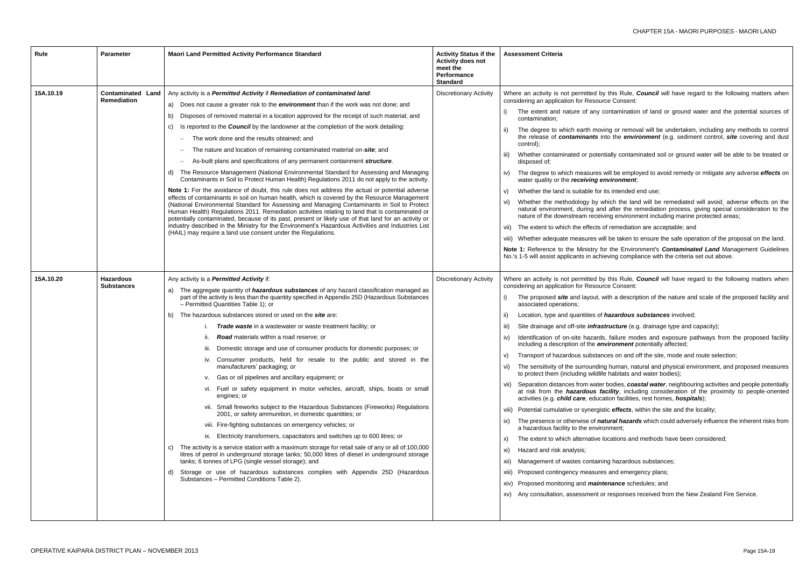- this Rule, *Council* will have regard to the following matters when Consent:
- ntamination of land or ground water and the potential sources of
- g or removal will be undertaken, including any methods to control the *environment* (e.g. sediment control, *site* covering and dust
- ally contaminated soil or ground water will be able to be treated or
- If be employed to avoid remedy or mitigate any adverse *effects* on *ironment*;
- intended end use;
- ich the land will be remediated will avoid, adverse effects on the after the remediation process, giving special consideration to the ng environment including marine protected areas;
- remediation are acceptable; and
- be taken to ensure the safe operation of the proposal on the land.
- the Environment's **Contaminated Land** Management Guidelines ing compliance with the criteria set out above.
- this Rule, *Council* will have regard to the following matters when Consent:
- h a description of the nature and scale of the proposed facility and
- **azardous substances** involved;
- **ucture** (e.g. drainage type and capacity);
- failure modes and exposure pathways from the proposed facility *ironment* potentially affected;
- es on and off the site, mode and route selection;
- numan, natural and physical environment, and proposed measures habitats and water bodies);
- odies, *coastal water*, neighbouring activities and people potentially ility, including consideration of the proximity to people-oriented on facilities, rest homes, *hospitals*);
- effects, within the site and the locality;
- **iral hazards** which could adversely influence the inherent risks from ment;
- cations and methods have been considered;
- hazardous substances;
- and emergency plans;
- **zance** schedules; and
- esponses received from the New Zealand Fire Service.

| Rule      | <b>Parameter</b>                               | <b>Maori Land Permitted Activity Performance Standard</b>                                                                                                                                                                                                                                                                                                                                                                                                                                                                                                                                                                                                                                                                                                                                                                                                                                                                                                                                                                                                                                                                                                                                                                                                                                                                                                                                                                                                                                                                                    | <b>Activity Status if the</b><br><b>Activity does not</b><br>meet the<br><b>Performance</b><br><b>Standard</b>                                                                                                                                                                                                                                                                                                                                                                                                                                                                                                                                                                                                                   | <b>Assessment Criteria</b>                                                                                                                                                                                                                                                                                                                                                                                                                                                                                                                                                                                                                                                                                                                                                                                                                                                                                                                                                                                                 |
|-----------|------------------------------------------------|----------------------------------------------------------------------------------------------------------------------------------------------------------------------------------------------------------------------------------------------------------------------------------------------------------------------------------------------------------------------------------------------------------------------------------------------------------------------------------------------------------------------------------------------------------------------------------------------------------------------------------------------------------------------------------------------------------------------------------------------------------------------------------------------------------------------------------------------------------------------------------------------------------------------------------------------------------------------------------------------------------------------------------------------------------------------------------------------------------------------------------------------------------------------------------------------------------------------------------------------------------------------------------------------------------------------------------------------------------------------------------------------------------------------------------------------------------------------------------------------------------------------------------------------|----------------------------------------------------------------------------------------------------------------------------------------------------------------------------------------------------------------------------------------------------------------------------------------------------------------------------------------------------------------------------------------------------------------------------------------------------------------------------------------------------------------------------------------------------------------------------------------------------------------------------------------------------------------------------------------------------------------------------------|----------------------------------------------------------------------------------------------------------------------------------------------------------------------------------------------------------------------------------------------------------------------------------------------------------------------------------------------------------------------------------------------------------------------------------------------------------------------------------------------------------------------------------------------------------------------------------------------------------------------------------------------------------------------------------------------------------------------------------------------------------------------------------------------------------------------------------------------------------------------------------------------------------------------------------------------------------------------------------------------------------------------------|
| 15A.10.19 | <b>Contaminated Land</b><br><b>Remediation</b> | Any activity is a Permitted Activity if Remediation of contaminated land:<br>a) Does not cause a greater risk to the <i>environment</i> than if the work was not done; and<br>Disposes of removed material in a location approved for the receipt of such material; and<br>b)<br>Is reported to the <b>Council</b> by the landowner at the completion of the work detailing:<br>C)<br>The work done and the results obtained; and<br>$\qquad \qquad -$<br>The nature and location of remaining contaminated material on-site; and<br>$\qquad \qquad -$<br>As-built plans and specifications of any permanent containment structure.<br>$\qquad \qquad -$<br>The Resource Management (National Environmental Standard for Assessing and Managing<br>d)<br>Contaminants in Soil to Protect Human Health) Regulations 2011 do not apply to the activity.<br>Note 1: For the avoidance of doubt, this rule does not address the actual or potential adverse<br>effects of contaminants in soil on human health, which is covered by the Resource Management<br>(National Environmental Standard for Assessing and Managing Contaminants in Soil to Protect<br>Human Health) Regulations 2011. Remediation activities relating to land that is contaminated or<br>potentially contaminated, because of its past, present or likely use of that land for an activity or<br>industry described in the Ministry for the Environment's Hazardous Activities and Industries List<br>(HAIL) may require a land use consent under the Regulations.       | Where an activity is not permitted by tl<br>considering an application for Resource<br>The extent and nature of any cor<br>contamination;<br>The degree to which earth moving<br>the release of contaminants into<br>control);<br>Whether contaminated or potentia<br>TH)<br>disposed of;<br>The degree to which measures wil<br>iv)<br>water quality or the receiving env<br>Whether the land is suitable for its<br>V)<br>Whether the methodology by whic<br>vi)<br>natural environment, during and a<br>nature of the downstream receiving<br>The extent to which the effects of r<br>Vii)<br>viii) Whether adequate measures will b<br>Note 1: Reference to the Ministry for t<br>No.'s 1-5 will assist applicants in achiev |                                                                                                                                                                                                                                                                                                                                                                                                                                                                                                                                                                                                                                                                                                                                                                                                                                                                                                                                                                                                                            |
| 15A.10.20 | <b>Hazardous</b><br><b>Substances</b>          | Any activity is a <i>Permitted Activity</i> if:<br>a) The aggregate quantity of <i>hazardous substances</i> of any hazard classification managed as<br>part of the activity is less than the quantity specified in Appendix 25D (Hazardous Substances<br>- Permitted Quantities Table 1); or<br>b) The hazardous substances stored or used on the site are:<br><b>Trade waste</b> in a wastewater or waste treatment facility; or<br><b>Road</b> materials within a road reserve; or<br>iii. Domestic storage and use of consumer products for domestic purposes; or<br>iv. Consumer products, held for resale to the public and stored in the<br>manufacturers' packaging; or<br>Gas or oil pipelines and ancillary equipment; or<br>v.<br>vi. Fuel or safety equipment in motor vehicles, aircraft, ships, boats or small<br>engines; or<br>vii. Small fireworks subject to the Hazardous Substances (Fireworks) Regulations<br>2001, or safety ammunition, in domestic quantities; or<br>viii. Fire-fighting substances on emergency vehicles; or<br>ix. Electricity transformers, capacitators and switches up to 600 litres; or<br>The activity is a service station with a maximum storage for retail sale of any or all of:100,000<br>C)<br>litres of petrol in underground storage tanks; 50,000 litres of diesel in underground storage<br>tanks; 6 tonnes of LPG (single vessel storage); and<br>Storage or use of hazardous substances complies with Appendix 25D (Hazardous<br>d)<br>Substances - Permitted Conditions Table 2). | <b>Discretionary Activity</b>                                                                                                                                                                                                                                                                                                                                                                                                                                                                                                                                                                                                                                                                                                    | Where an activity is not permitted by tl<br>considering an application for Resource<br>The proposed site and layout, with<br>associated operations;<br>Location, type and quantities of ha<br>ii)<br>Site drainage and off-site <i>infrastru</i><br>iii)<br>Identification of on-site hazards, f<br>IV)<br>including a description of the <i>envir</i><br>Transport of hazardous substance<br>V)<br>The sensitivity of the surrounding h<br>VI)<br>to protect them (including wildlife h<br>Separation distances from water bo<br>VII)<br>at risk from the hazardous faci<br>activities (e.g. child care, education<br>viii) Potential cumulative or synergistic<br>The presence or otherwise of natu.<br>IX)<br>a hazardous facility to the environr<br>The extent to which alternative loct<br>X)<br>Hazard and risk analysis;<br>XI)<br>Management of wastes containing<br>XII)<br>Proposed contingency measures a<br>XIII)<br>xiv) Proposed monitoring and <i>mainten</i><br>Any consultation, assessment or re<br>XV) |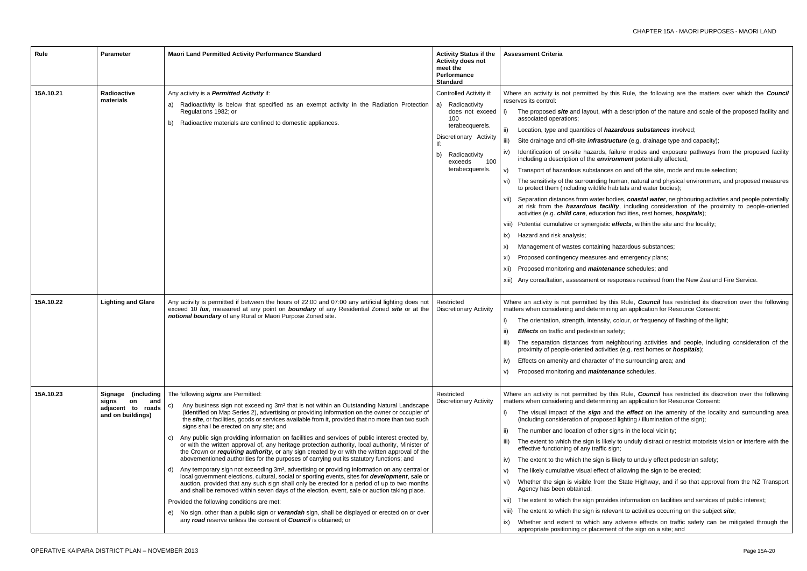this Rule, the following are the matters over which the **Council** 

th a description of the nature and scale of the proposed facility and

**azardous substances** involved;

**indefact drainage type and capacity);** 

failure modes and exposure pathways from the proposed facility *ironment* potentially affected;

es on and off the site, mode and route selection;

human, natural and physical environment, and proposed measures habitats and water bodies);

odies, **coastal water**, neighbouring activities and people potentially ility, including consideration of the proximity to people-oriented on facilities, rest homes, *hospitals*);

effects, within the site and the locality;

hazardous substances;

and emergency plans;

*nance* schedules; and

responses received from the New Zealand Fire Service.

this Rule, **Council** has restricted its discretion over the following ning an application for Resource Consent:

, colour, or frequency of flashing of the light;

safety;

heighbouring activities and people, including consideration of the ties (e.g. rest homes or *hospitals*);

of the surrounding area; and

**nance** schedules.

this Rule, *Council* has restricted its discretion over the following ning an application for Resource Consent:

nd the *effect* on the amenity of the locality and surrounding area sed lighting / illumination of the sign);

signs in the local vicinity;

ely to unduly distract or restrict motorists vision or interfere with the sign;

likely to unduly effect pedestrian safety;

of allowing the sign to be erected;

the State Highway, and if so that approval from the NZ Transport

des information on facilities and services of public interest;

levant to activities occurring on the subject *site*;

iy adverse effects on traffic safety can be mitigated through the ent of the sign on a site; and

| Rule      | <b>Parameter</b>                                                                      | <b>Maori Land Permitted Activity Performance Standard</b>                                                                                                                                                                                                                                                                                                                                                                                                                                                                                                                                                                                                                                                                                                                                                                                                                                                                                                                                                                                                                                                                                                                                                                                                                                                                                                                                                                                                             | <b>Activity Status if the</b><br><b>Activity does not</b><br>meet the<br>Performance<br><b>Standard</b>                                                                                  | <b>Assessment Criteria</b>                                                                                                                                                                                                                                                                                                                                                                                                                                                                                                                                                                                                                                                                                                                                                                                                                                     |
|-----------|---------------------------------------------------------------------------------------|-----------------------------------------------------------------------------------------------------------------------------------------------------------------------------------------------------------------------------------------------------------------------------------------------------------------------------------------------------------------------------------------------------------------------------------------------------------------------------------------------------------------------------------------------------------------------------------------------------------------------------------------------------------------------------------------------------------------------------------------------------------------------------------------------------------------------------------------------------------------------------------------------------------------------------------------------------------------------------------------------------------------------------------------------------------------------------------------------------------------------------------------------------------------------------------------------------------------------------------------------------------------------------------------------------------------------------------------------------------------------------------------------------------------------------------------------------------------------|------------------------------------------------------------------------------------------------------------------------------------------------------------------------------------------|----------------------------------------------------------------------------------------------------------------------------------------------------------------------------------------------------------------------------------------------------------------------------------------------------------------------------------------------------------------------------------------------------------------------------------------------------------------------------------------------------------------------------------------------------------------------------------------------------------------------------------------------------------------------------------------------------------------------------------------------------------------------------------------------------------------------------------------------------------------|
| 15A.10.21 | <b>Radioactive</b><br>materials                                                       | Any activity is a <b>Permitted Activity</b> if:<br>Radioactivity is below that specified as an exempt activity in the Radiation Protection<br>a)<br>Regulations 1982; or<br>Radioactive materials are confined to domestic appliances.<br>b)                                                                                                                                                                                                                                                                                                                                                                                                                                                                                                                                                                                                                                                                                                                                                                                                                                                                                                                                                                                                                                                                                                                                                                                                                          | Controlled Activity if:<br>Radioactivity<br>a)<br>does not exceed<br>100<br>terabecquerels.<br>Discretionary Activity<br>lf:<br>Radioactivity<br>b)<br>exceeds<br>100<br>terabecquerels. | Where an activity is not permitted by<br>reserves its control:<br>The proposed site and layout, wit<br>i)<br>associated operations;<br>Location, type and quantities of ha<br>ii)<br>Site drainage and off-site <i>infrastre</i><br>iii)<br>Identification of on-site hazards,<br>iv)<br>including a description of the envi<br>Transport of hazardous substance<br>V)<br>The sensitivity of the surrounding<br>VI)<br>to protect them (including wildlife I<br>vii) Separation distances from water b<br>at risk from the <i>hazardous faci</i><br>activities (e.g. child care, education<br>viii) Potential cumulative or synergistic<br>Hazard and risk analysis;<br>ix)<br>Management of wastes containing<br>X)<br>Proposed contingency measures a<br>xi)<br>Proposed monitoring and <i>mainter</i><br>XII)<br>Any consultation, assessment or r<br>xiii) |
| 15A.10.22 | <b>Lighting and Glare</b>                                                             | Any activity is permitted if between the hours of 22:00 and 07:00 any artificial lighting does not<br>exceed 10 lux, measured at any point on boundary of any Residential Zoned site or at the<br>notional boundary of any Rural or Maori Purpose Zoned site.                                                                                                                                                                                                                                                                                                                                                                                                                                                                                                                                                                                                                                                                                                                                                                                                                                                                                                                                                                                                                                                                                                                                                                                                         | Restricted<br><b>Discretionary Activity</b>                                                                                                                                              | Where an activity is not permitted by<br>matters when considering and determin<br>The orientation, strength, intensity<br>i)<br><b>Effects</b> on traffic and pedestrian s<br>ii)<br>The separation distances from n<br>proximity of people-oriented activit<br>Effects on amenity and character<br>iv)<br>Proposed monitoring and <i>mainter</i><br>V)                                                                                                                                                                                                                                                                                                                                                                                                                                                                                                        |
| 15A.10.23 | Signage<br>(including<br>signs<br>on<br>and<br>adjacent to roads<br>and on buildings) | The following signs are Permitted:<br>Any business sign not exceeding 3m <sup>2</sup> that is not within an Outstanding Natural Landscape<br>C)<br>(identified on Map Series 2), advertising or providing information on the owner or occupier of<br>the site, or facilities, goods or services available from it, provided that no more than two such<br>signs shall be erected on any site; and<br>Any public sign providing information on facilities and services of public interest erected by,<br>C)<br>or with the written approval of, any heritage protection authority, local authority, Minister of<br>the Crown or <i>requiring authority</i> , or any sign created by or with the written approval of the<br>abovementioned authorities for the purposes of carrying out its statutory functions; and<br>Any temporary sign not exceeding 3m <sup>2</sup> , advertising or providing information on any central or<br>d)<br>local government elections, cultural, social or sporting events, sites for <b>development</b> , sale or<br>auction, provided that any such sign shall only be erected for a period of up to two months<br>and shall be removed within seven days of the election, event, sale or auction taking place.<br>Provided the following conditions are met:<br>No sign, other than a public sign or verandah sign, shall be displayed or erected on or over<br>e)<br>any road reserve unless the consent of Council is obtained; or | Restricted<br><b>Discretionary Activity</b>                                                                                                                                              | Where an activity is not permitted by<br>matters when considering and determin<br>i)<br>The visual impact of the sign an<br>(including consideration of propos<br>The number and location of other<br>ii)<br>The extent to which the sign is like<br>iii)<br>effective functioning of any traffic :<br>The extent to the which the sign is<br>IV)<br>The likely cumulative visual effect<br>V)<br>Whether the sign is visible from t<br>VI)<br>Agency has been obtained;<br>The extent to which the sign provi-<br>VII)<br>The extent to which the sign is rele<br>Viii)<br>Whether and extent to which an<br>ix)<br>appropriate positioning or placeme                                                                                                                                                                                                        |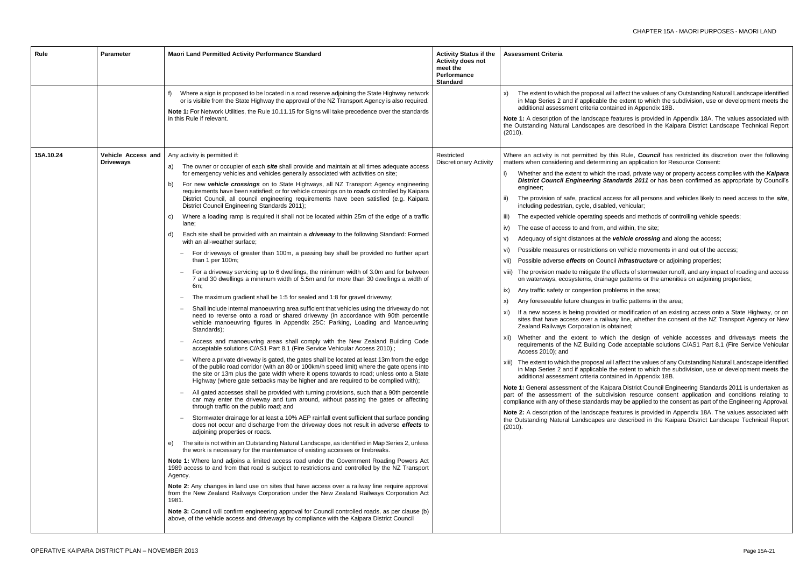ill affect the values of any Outstanding Natural Landscape identified the extent to which the subdivision, use or development meets the itained in Appendix 18B.

features is provided in Appendix 18A. The values associated with are described in the Kaipara District Landscape Technical Report

this Rule, *Council* has restricted its discretion over the following hing an application for Resource Consent:

he road, private way or property access complies with the **Kaipara andards 2011** or has been confirmed as appropriate by Council's

cess for all persons and vehicles likely to need access to the *site*, ed, vehicular;

beeds and methods of controlling vehicle speeds;

and within, the site;

vehicle crossing and along the access;

on vehicle movements in and out of the access;

**infrastructure** or adjoining properties;

effects of stormwater runoff, and any impact of roading and access age patterns or the amenities on adjoining properties;

bilems in the area;

traffic patterns in the area;

or modification of an existing access onto a State Highway, or on vay line, whether the consent of the NZ Transport Agency or New zer<br>Deptained;

ich the design of vehicle accesses and driveways meets the Code acceptable solutions C/AS1 Part 8.1 (Fire Service Vehicular

ill affect the values of any Outstanding Natural Landscape identified the extent to which the subdivision, use or development meets the tained in Appendix 18B.

para District Council Engineering Standards 2011 is undertaken as ivision resource consent application and conditions relating to may be applied to the consent as part of the Engineering Approval.

features is provided in Appendix 18A. The values associated with are described in the Kaipara District Landscape Technical Report

| Rule      | <b>Parameter</b>                       | Maori Land Permitted Activity Performance Standard                                                                                                                                                                                                                                                                                                                                                                                                                                                                                                                                                                                                                                                                                                                                                                                                                                                                                                                                                                                                                                                                                                                                                                                                                                                                                                                                                                                                                                                                                                                                                                                                                                                                                                                                                                                                                                                                                                                                                                                                                                                                                                                                                                                                                                                                                                                                                                                                                                                                                                                                                                                                                                                                                                                                                                                                                                                                                                                                                                                                                                                                                                                                                                                                                                                                                                                     | <b>Activity Status if the</b><br>Activity does not<br>meet the<br><b>Performance</b><br><b>Standard</b> | <b>Assessment Criteria</b>                                                                                                                                                                                                                                                                                                                                                                                                                                                                                                                                                                                                                                                                                                                                                                                                                                                                                                                                                                                                                                                                                                                                                                                                                                                 |
|-----------|----------------------------------------|------------------------------------------------------------------------------------------------------------------------------------------------------------------------------------------------------------------------------------------------------------------------------------------------------------------------------------------------------------------------------------------------------------------------------------------------------------------------------------------------------------------------------------------------------------------------------------------------------------------------------------------------------------------------------------------------------------------------------------------------------------------------------------------------------------------------------------------------------------------------------------------------------------------------------------------------------------------------------------------------------------------------------------------------------------------------------------------------------------------------------------------------------------------------------------------------------------------------------------------------------------------------------------------------------------------------------------------------------------------------------------------------------------------------------------------------------------------------------------------------------------------------------------------------------------------------------------------------------------------------------------------------------------------------------------------------------------------------------------------------------------------------------------------------------------------------------------------------------------------------------------------------------------------------------------------------------------------------------------------------------------------------------------------------------------------------------------------------------------------------------------------------------------------------------------------------------------------------------------------------------------------------------------------------------------------------------------------------------------------------------------------------------------------------------------------------------------------------------------------------------------------------------------------------------------------------------------------------------------------------------------------------------------------------------------------------------------------------------------------------------------------------------------------------------------------------------------------------------------------------------------------------------------------------------------------------------------------------------------------------------------------------------------------------------------------------------------------------------------------------------------------------------------------------------------------------------------------------------------------------------------------------------------------------------------------------------------------------------------------------|---------------------------------------------------------------------------------------------------------|----------------------------------------------------------------------------------------------------------------------------------------------------------------------------------------------------------------------------------------------------------------------------------------------------------------------------------------------------------------------------------------------------------------------------------------------------------------------------------------------------------------------------------------------------------------------------------------------------------------------------------------------------------------------------------------------------------------------------------------------------------------------------------------------------------------------------------------------------------------------------------------------------------------------------------------------------------------------------------------------------------------------------------------------------------------------------------------------------------------------------------------------------------------------------------------------------------------------------------------------------------------------------|
|           |                                        | Where a sign is proposed to be located in a road reserve adjoining the State Highway network<br>or is visible from the State Highway the approval of the NZ Transport Agency is also required.<br>Note 1: For Network Utilities, the Rule 10.11.15 for Signs will take precedence over the standards<br>in this Rule if relevant.                                                                                                                                                                                                                                                                                                                                                                                                                                                                                                                                                                                                                                                                                                                                                                                                                                                                                                                                                                                                                                                                                                                                                                                                                                                                                                                                                                                                                                                                                                                                                                                                                                                                                                                                                                                                                                                                                                                                                                                                                                                                                                                                                                                                                                                                                                                                                                                                                                                                                                                                                                                                                                                                                                                                                                                                                                                                                                                                                                                                                                      |                                                                                                         | The extent to which the proposal wi<br>X)<br>in Map Series 2 and if applicable t<br>additional assessment criteria cont<br>Note 1: A description of the landscape<br>the Outstanding Natural Landscapes a<br>(2010).                                                                                                                                                                                                                                                                                                                                                                                                                                                                                                                                                                                                                                                                                                                                                                                                                                                                                                                                                                                                                                                       |
| 15A.10.24 | Vehicle Access and<br><b>Driveways</b> | Any activity is permitted if:<br>The owner or occupier of each <b>site</b> shall provide and maintain at all times adequate access<br>a)<br>for emergency vehicles and vehicles generally associated with activities on site;<br>For new vehicle crossings on to State Highways, all NZ Transport Agency engineering<br>b)<br>requirements have been satisfied; or for vehicle crossings on to roads controlled by Kaipara<br>District Council, all council engineering requirements have been satisfied (e.g. Kaipara<br>District Council Engineering Standards 2011);<br>Where a loading ramp is required it shall not be located within 25m of the edge of a traffic<br>C)<br>lane;<br>Each site shall be provided with an maintain a <i>driveway</i> to the following Standard: Formed<br>d)<br>with an all-weather surface;<br>For driveways of greater than 100m, a passing bay shall be provided no further apart<br>$\overline{\phantom{m}}$<br>than 1 per 100m;<br>For a driveway servicing up to 6 dwellings, the minimum width of 3.0m and for between<br>7 and 30 dwellings a minimum width of 5.5m and for more than 30 dwellings a width of<br>6m;<br>The maximum gradient shall be 1:5 for sealed and 1:8 for gravel driveway;<br>$\overline{\phantom{m}}$<br>Shall include internal manoeuvring area sufficient that vehicles using the driveway do not<br>need to reverse onto a road or shared driveway (in accordance with 90th percentile<br>vehicle manoeuvring figures in Appendix 25C: Parking, Loading and Manoeuvring<br>Standards);<br>Access and manoeuvring areas shall comply with the New Zealand Building Code<br>acceptable solutions C/AS1 Part 8.1 (Fire Service Vehicular Access 2010).;<br>Where a private driveway is gated, the gates shall be located at least 13m from the edge<br>of the public road corridor (with an 80 or 100km/h speed limit) where the gate opens into<br>the site or 13m plus the gate width where it opens towards to road; unless onto a State<br>Highway (where gate setbacks may be higher and are required to be complied with);<br>All gated accesses shall be provided with turning provisions, such that a 90th percentile<br>car may enter the driveway and turn around, without passing the gates or affecting<br>through traffic on the public road; and<br>Stormwater drainage for at least a 10% AEP rainfall event sufficient that surface ponding<br>does not occur and discharge from the driveway does not result in adverse effects to<br>adjoining properties or roads.<br>The site is not within an Outstanding Natural Landscape, as identified in Map Series 2, unless<br>e)<br>the work is necessary for the maintenance of existing accesses or firebreaks.<br>Note 1: Where land adjoins a limited access road under the Government Roading Powers Act<br>1989 access to and from that road is subject to restrictions and controlled by the NZ Transport<br>Agency.<br>Note 2: Any changes in land use on sites that have access over a railway line require approval<br>from the New Zealand Railways Corporation under the New Zealand Railways Corporation Act<br>1981.<br>Note 3: Council will confirm engineering approval for Council controlled roads, as per clause (b)<br>above, of the vehicle access and driveways by compliance with the Kaipara District Council | Restricted<br><b>Discretionary Activity</b>                                                             | Where an activity is not permitted by t<br>matters when considering and determin<br>Whether and the extent to which th<br>i)<br><b>District Council Engineering Sta</b><br>engineer;<br>The provision of safe, practical ac<br>ii)<br>including pedestrian, cycle, disable<br>The expected vehicle operating sp<br>iii)<br>The ease of access to and from, a<br>iv)<br>Adequacy of sight distances at the<br>V)<br>Possible measures or restrictions<br>vi)<br>Possible adverse <b>effects</b> on Coun<br>vii)<br>The provision made to mitigate the<br>Viii)<br>on waterways, ecosystems, draina<br>Any traffic safety or congestion pro<br>ix)<br>Any foreseeable future changes in<br>X)<br>If a new access is being provided<br>xi)<br>sites that have access over a railv<br>Zealand Railways Corporation is o<br>Whether and the extent to whic<br>xii)<br>requirements of the NZ Building C<br>Access 2010); and<br>xiii) The extent to which the proposal wi<br>in Map Series 2 and if applicable t<br>additional assessment criteria cont<br>Note 1: General assessment of the Kaip<br>part of the assessment of the subdi<br>compliance with any of these standards<br>Note 2: A description of the landscape<br>the Outstanding Natural Landscapes a<br>(2010). |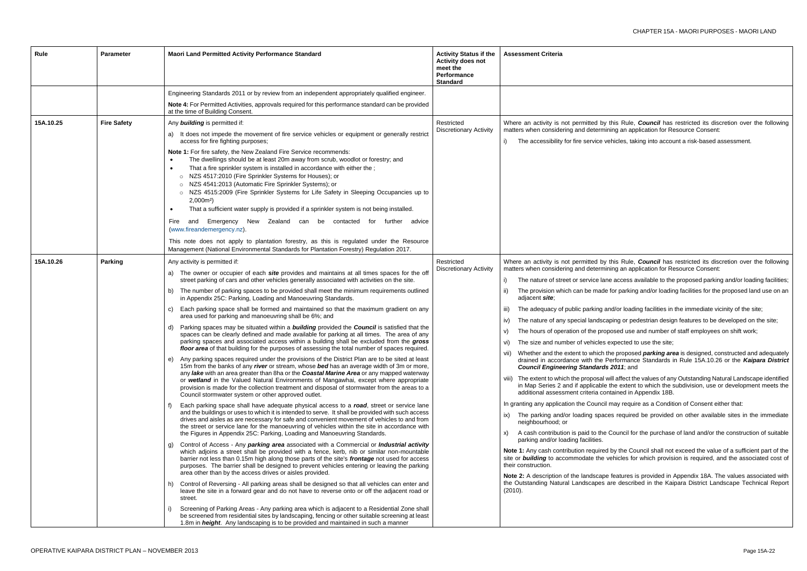this Rule, *Council* has restricted its discretion over the following ing an application for Resource Consent:

ehicles, taking into account a risk-based assessment.

this Rule, *Council* has restricted its discretion over the following ing an application for Resource Consent:

e access available to the proposed parking and/or loading facilities;

for parking and/or loading facilities for the proposed land use on an

nd/or loading facilities in the immediate vicinity of the site;

ping or pedestrian design features to be developed on the site;

osed use and number of staff employees on shift work;

expected to use the site;

ne proposed *parking area* is designed, constructed and adequately erformance Standards in Rule 15A.10.26 or the *Kaipara District Council Engineering Standards 2011*; and

vill affect the values of any Outstanding Natural Landscape identified the extent to which the subdivision, use or development meets the itained in Appendix 18B.

may require as a Condition of Consent either that:

es required be provided on other available sites in the immediate

Council for the purchase of land and/or the construction of suitable

by the Council shall not exceed the value of a sufficient part of the rehicles for which provision is required, and the associated cost of

features is provided in Appendix 18A. The values associated with are described in the Kaipara District Landscape Technical Report

| Rule      | <b>Parameter</b>   | <b>Maori Land Permitted Activity Performance Standard</b>                                                                                                                                                                                                                                                                                                                                                                                                                                                                                                                                                                                                                                                                                                                                                                                                                                                                                                                                                                                                                                                                                                                                                                                                                                                                                                                                                                                                                                                                                                                                                                                                                                                                                                                                                                                                                                                                                                                                                                                                                                                                                                                                                                                                                                                                                                                                                                                                                                                                                                                                                                                                                                                                                                                                                                                                                                                                                                                    | <b>Activity Status if the</b><br><b>Activity does not</b><br>meet the<br><b>Performance</b><br><b>Standard</b> | <b>Assessment Criteria</b>                                                                                                                                                                                                                                                                                                                                                                                                                                                                                                                                                                                                                                                                                                                                                                                                                                                                                                                                                                                |
|-----------|--------------------|------------------------------------------------------------------------------------------------------------------------------------------------------------------------------------------------------------------------------------------------------------------------------------------------------------------------------------------------------------------------------------------------------------------------------------------------------------------------------------------------------------------------------------------------------------------------------------------------------------------------------------------------------------------------------------------------------------------------------------------------------------------------------------------------------------------------------------------------------------------------------------------------------------------------------------------------------------------------------------------------------------------------------------------------------------------------------------------------------------------------------------------------------------------------------------------------------------------------------------------------------------------------------------------------------------------------------------------------------------------------------------------------------------------------------------------------------------------------------------------------------------------------------------------------------------------------------------------------------------------------------------------------------------------------------------------------------------------------------------------------------------------------------------------------------------------------------------------------------------------------------------------------------------------------------------------------------------------------------------------------------------------------------------------------------------------------------------------------------------------------------------------------------------------------------------------------------------------------------------------------------------------------------------------------------------------------------------------------------------------------------------------------------------------------------------------------------------------------------------------------------------------------------------------------------------------------------------------------------------------------------------------------------------------------------------------------------------------------------------------------------------------------------------------------------------------------------------------------------------------------------------------------------------------------------------------------------------------------------|----------------------------------------------------------------------------------------------------------------|-----------------------------------------------------------------------------------------------------------------------------------------------------------------------------------------------------------------------------------------------------------------------------------------------------------------------------------------------------------------------------------------------------------------------------------------------------------------------------------------------------------------------------------------------------------------------------------------------------------------------------------------------------------------------------------------------------------------------------------------------------------------------------------------------------------------------------------------------------------------------------------------------------------------------------------------------------------------------------------------------------------|
|           |                    | Engineering Standards 2011 or by review from an independent appropriately qualified engineer.                                                                                                                                                                                                                                                                                                                                                                                                                                                                                                                                                                                                                                                                                                                                                                                                                                                                                                                                                                                                                                                                                                                                                                                                                                                                                                                                                                                                                                                                                                                                                                                                                                                                                                                                                                                                                                                                                                                                                                                                                                                                                                                                                                                                                                                                                                                                                                                                                                                                                                                                                                                                                                                                                                                                                                                                                                                                                |                                                                                                                |                                                                                                                                                                                                                                                                                                                                                                                                                                                                                                                                                                                                                                                                                                                                                                                                                                                                                                                                                                                                           |
|           |                    | Note 4: For Permitted Activities, approvals required for this performance standard can be provided<br>at the time of Building Consent.                                                                                                                                                                                                                                                                                                                                                                                                                                                                                                                                                                                                                                                                                                                                                                                                                                                                                                                                                                                                                                                                                                                                                                                                                                                                                                                                                                                                                                                                                                                                                                                                                                                                                                                                                                                                                                                                                                                                                                                                                                                                                                                                                                                                                                                                                                                                                                                                                                                                                                                                                                                                                                                                                                                                                                                                                                       |                                                                                                                |                                                                                                                                                                                                                                                                                                                                                                                                                                                                                                                                                                                                                                                                                                                                                                                                                                                                                                                                                                                                           |
| 15A.10.25 | <b>Fire Safety</b> | Any <b>building</b> is permitted if:<br>a) It does not impede the movement of fire service vehicles or equipment or generally restrict<br>access for fire fighting purposes;<br>Note 1: For fire safety, the New Zealand Fire Service recommends:<br>The dwellings should be at least 20m away from scrub, woodlot or forestry; and<br>$\bullet$<br>That a fire sprinkler system is installed in accordance with either the;<br>$\bullet$<br>o NZS 4517:2010 (Fire Sprinkler Systems for Houses); or<br>o NZS 4541:2013 (Automatic Fire Sprinkler Systems); or<br>o NZS 4515:2009 (Fire Sprinkler Systems for Life Safety in Sleeping Occupancies up to<br>$2,000m2$ )<br>That a sufficient water supply is provided if a sprinkler system is not being installed.<br>$\bullet$<br>Emergency New Zealand can be contacted<br>Fire<br>for<br>further<br>advice<br>and<br>(www.fireandemergency.nz).<br>This note does not apply to plantation forestry, as this is regulated under the Resource<br>Management (National Environmental Standards for Plantation Forestry) Regulation 2017.                                                                                                                                                                                                                                                                                                                                                                                                                                                                                                                                                                                                                                                                                                                                                                                                                                                                                                                                                                                                                                                                                                                                                                                                                                                                                                                                                                                                                                                                                                                                                                                                                                                                                                                                                                                                                                                                                     | Restricted<br><b>Discretionary Activity</b>                                                                    | Where an activity is not permitted by t<br>matters when considering and determin<br>The accessibility for fire service ve                                                                                                                                                                                                                                                                                                                                                                                                                                                                                                                                                                                                                                                                                                                                                                                                                                                                                 |
| 15A.10.26 | Parking            | Any activity is permitted if:<br>a) The owner or occupier of each <i>site</i> provides and maintains at all times spaces for the off<br>street parking of cars and other vehicles generally associated with activities on the site.<br>b) The number of parking spaces to be provided shall meet the minimum requirements outlined<br>in Appendix 25C: Parking, Loading and Manoeuvring Standards.<br>Each parking space shall be formed and maintained so that the maximum gradient on any<br>C)<br>area used for parking and manoeuvring shall be 6%; and<br>Parking spaces may be situated within a <b>building</b> provided the <b>Council</b> is satisfied that the<br>d)<br>spaces can be clearly defined and made available for parking at all times. The area of any<br>parking spaces and associated access within a building shall be excluded from the gross<br>floor area of that building for the purposes of assessing the total number of spaces required.<br>e) Any parking spaces required under the provisions of the District Plan are to be sited at least<br>15m from the banks of any river or stream, whose bed has an average width of 3m or more,<br>any lake with an area greater than 8ha or the Coastal Marine Area or any mapped waterway<br>or wetland in the Valued Natural Environments of Mangawhai, except where appropriate<br>provision is made for the collection treatment and disposal of stormwater from the areas to a<br>Council stormwater system or other approved outlet.<br>Each parking space shall have adequate physical access to a road, street or service lane<br>and the buildings or uses to which it is intended to serve. It shall be provided with such access<br>drives and aisles as are necessary for safe and convenient movement of vehicles to and from<br>the street or service lane for the manoeuvring of vehicles within the site in accordance with<br>the Figures in Appendix 25C: Parking, Loading and Manoeuvring Standards.<br>Control of Access - Any parking area associated with a Commercial or Industrial activity<br>g)<br>which adjoins a street shall be provided with a fence, kerb, nib or similar non-mountable<br>barrier not less than 0.15m high along those parts of the site's frontage not used for access<br>purposes. The barrier shall be designed to prevent vehicles entering or leaving the parking<br>area other than by the access drives or aisles provided.<br>h) Control of Reversing - All parking areas shall be designed so that all vehicles can enter and<br>leave the site in a forward gear and do not have to reverse onto or off the adjacent road or<br>street.<br>Screening of Parking Areas - Any parking area which is adjacent to a Residential Zone shall<br>be screened from residential sites by landscaping, fencing or other suitable screening at least<br>1.8m in <i>height</i> . Any landscaping is to be provided and maintained in such a manner | Restricted<br><b>Discretionary Activity</b>                                                                    | Where an activity is not permitted by t<br>matters when considering and determin<br>The nature of street or service lane<br>The provision which can be made<br>adjacent site;<br>The adequacy of public parking ar<br>iii)<br>The nature of any special landsca<br>IV)<br>The hours of operation of the prop<br>V)<br>The size and number of vehicles e<br>vii) Whether and the extent to which th<br>drained in accordance with the P<br><b>Council Engineering Standards</b><br>viii) The extent to which the proposal w<br>in Map Series 2 and if applicable t<br>additional assessment criteria con<br>In granting any application the Council r<br>The parking and/or loading space<br>neighbourhood; or<br>A cash contribution is paid to the 0<br>parking and/or loading facilities.<br>Note 1: Any cash contribution required<br>site or <b>building</b> to accommodate the v<br>their construction.<br>Note 2: A description of the landscape<br>the Outstanding Natural Landscapes a<br>(2010). |